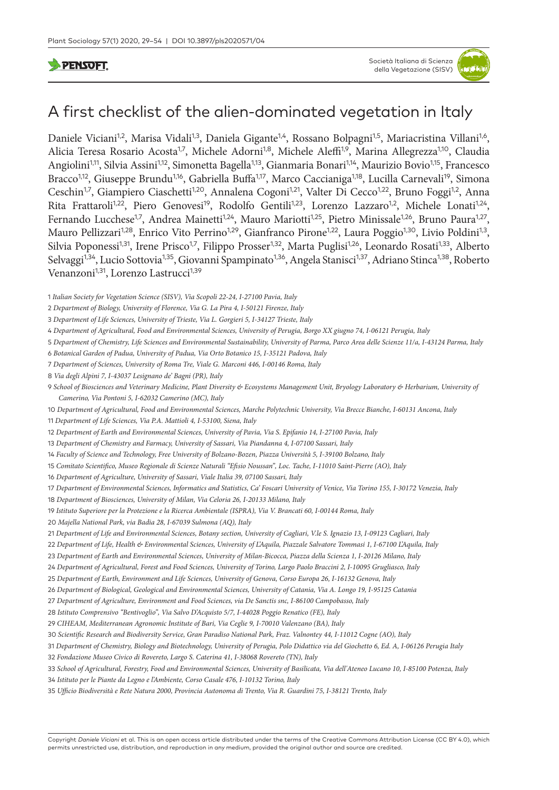**PENSOFT** 

# A first checklist of the alien-dominated vegetation in Italy

Daniele Viciani<sup>1,2</sup>, Marisa Vidali<sup>1,3</sup>, Daniela Gigante<sup>1,4</sup>, Rossano Bolpagni<sup>1,5</sup>, Mariacristina Villani<sup>1,6</sup>, Alicia Teresa Rosario Acosta<sup>1,7</sup>, Michele Adorni<sup>1,8</sup>, Michele Aleffi<sup>1,9</sup>, Marina Allegrezza<sup>1,10</sup>, Claudia Angiolini<sup>1,11</sup>, Silvia Assini<sup>1,12</sup>, Simonetta Bagella<sup>1,13</sup>, Gianmaria Bonari<sup>1,14</sup>, Maurizio Bovio<sup>1,15</sup>, Francesco Bracco<sup>1,12</sup>, Giuseppe Brundu<sup>1,16</sup>, Gabriella Buffa<sup>1,17</sup>, Marco Caccianiga<sup>1,18</sup>, Lucilla Carnevali<sup>19</sup>, Simona Ceschin<sup>1,7</sup>, Giampiero Ciaschetti<sup>1,20</sup>, Annalena Cogoni<sup>1,21</sup>, Valter Di Cecco<sup>1,22</sup>, Bruno Foggi<sup>1,2</sup>, Anna Rita Frattaroli<sup>1,22</sup>, Piero Genovesi<sup>19</sup>, Rodolfo Gentili<sup>1,23</sup>, Lorenzo Lazzaro<sup>1,2</sup>, Michele Lonati<sup>1,24</sup>, Fernando Lucchese<sup>1,7</sup>, Andrea Mainetti<sup>1,24</sup>, Mauro Mariotti<sup>1,25</sup>, Pietro Minissale<sup>1,26</sup>, Bruno Paura<sup>1,27</sup>, Mauro Pellizzari<sup>1,28</sup>, Enrico Vito Perrino<sup>1,29</sup>, Gianfranco Pirone<sup>1,22</sup>, Laura Poggio<sup>1,30</sup>, Livio Poldini<sup>1,3</sup>, Silvia Poponessi<sup>1,31</sup>, Irene Prisco<sup>1,7</sup>, Filippo Prosser<sup>1,32</sup>, Marta Puglisi<sup>1,26</sup>, Leonardo Rosati<sup>1,33</sup>, Alberto Selvaggi<sup>1,34</sup>, Lucio Sottovia<sup>1,35</sup>, Giovanni Spampinato<sup>1,36</sup>, Angela Stanisci<sup>1,37</sup>, Adriano Stinca<sup>1,38</sup>, Roberto Venanzoni<sup>1,31</sup>, Lorenzo Lastrucci<sup>1,39</sup>

 *Department of Agricultural, Food and Environmental Sciences, University of Perugia, Borgo XX giugno 74, I-06121 Perugia, Italy*

 *Department of Chemistry, Life Sciences and Environmental Sustainability, University of Parma, Parco Area delle Scienze 11/a, I-43124 Parma, Italy*

 *Botanical Garden of Padua, University of Padua, Via Orto Botanico 15, I-35121 Padova, Italy*

*Department of Sciences, University of Roma Tre, Viale G. Marconi 446, I-00146 Roma, Italy*

- *Via degli Alpini 7, I-43037 Lesignano de' Bagni (PR), Italy*
- *School of Biosciences and Veterinary Medicine, Plant Diversity & Ecosystems Management Unit, Bryology Laboratory & Herbarium, University of Camerino, Via Pontoni 5, I-62032 Camerino (MC), Italy*
- *Department of Agricultural, Food and Environmental Sciences, Marche Polytechnic University, Via Brecce Bianche, I-60131 Ancona, Italy*

 *Department of Life Sciences, Via P.A. Mattioli 4, I-53100, Siena, Italy Department of Earth and Environmental Sciences, University of Pavia, Via S. Epifanio 14, I-27100 Pavia, Italy*

 *Department of Chemistry and Farmacy, University of Sassari, Via Piandanna 4, I-07100 Sassari, Italy*

 *Faculty of Science and Technology, Free University of Bolzano-Bozen, Piazza Università 5, I-39100 Bolzano, Italy*

- *Comitato Scientifico, Museo Regionale di Scienze Naturali "Efisio Noussan", Loc. Tache, I-11010 Saint-Pierre (AO), Italy*
- *Department of Agriculture, University of Sassari, Viale Italia 39, 07100 Sassari, Italy*

*Department of Environmental Sciences, Informatics and Statistics, Ca' Foscari University of Venice, Via Torino 155, I-30172 Venezia, Italy*

*Department of Biosciences, University of Milan, Via Celoria 26, I-20133 Milano, Italy*

- *Istituto Superiore per la Protezione e la Ricerca Ambientale (ISPRA), Via V. Brancati 60, I-00144 Roma, Italy*
- *Majella National Park, via Badia 28, I-67039 Sulmona (AQ), Italy*
- *Department of Life and Environmental Sciences, Botany section, University of Cagliari, V.le S. Ignazio 13, I-09123 Cagliari, Italy*
- *Department of Life, Health & Environmental Sciences, University of L'Aquila, Piazzale Salvatore Tommasi 1, I-67100 L'Aquila, Italy*
- *Department of Earth and Environmental Sciences, University of Milan-Bicocca, Piazza della Scienza 1, I-20126 Milano, Italy*
- *Department of Agricultural, Forest and Food Sciences, University of Torino, Largo Paolo Braccini 2, I-10095 Grugliasco, Italy*
- *Department of Earth, Environment and Life Sciences, University of Genova, Corso Europa 26, I-16132 Genova, Italy*
- *Department of Biological, Geological and Environmental Sciences, University of Catania, Via A. Longo 19, I-95125 Catania*
- *Department of Agriculture, Environment and Food Sciences, via De Sanctis snc, I-86100 Campobasso, Italy*

 *Istituto Comprensivo "Bentivoglio", Via Salvo D'Acquisto 5/7, I-44028 Poggio Renatico (FE), Italy*

- *CIHEAM, Mediterranean Agronomic Institute of Bari, Via Ceglie 9, I-70010 Valenzano (BA), Italy*
- *Scientific Research and Biodiversity Service, Gran Paradiso National Park, Fraz. Valnontey 44, I-11012 Cogne (AO), Italy*
- *Department of Chemistry, Biology and Biotechnology, University of Perugia, Polo Didattico via del Giochetto 6, Ed. A, I-06126 Perugia Italy*
- *Fondazione Museo Civico di Rovereto, Largo S. Caterina 41, I-38068 Rovereto (TN), Italy*
- *School of Agricultural, Forestry, Food and Environmental Sciences, University of Basilicata, Via dell'Ateneo Lucano 10, I-85100 Potenza, Italy*
- *Istituto per le Piante da Legno e l'Ambiente, Corso Casale 476, I-10132 Torino, Italy*
- *Ufficio Biodiversità e Rete Natura 2000, Provincia Autonoma di Trento, Via R. Guardini 75, I-38121 Trento, Italy*

*Italian Society for Vegetation Science (SISV), Via Scopoli 22-24, I-27100 Pavia, Italy* 

 *Department of Biology, University of Florence, Via G. La Pira 4, I-50121 Firenze, Italy*

 *Department of Life Sciences, University of Trieste, Via L. Gorgieri 5, I-34127 Trieste, Italy*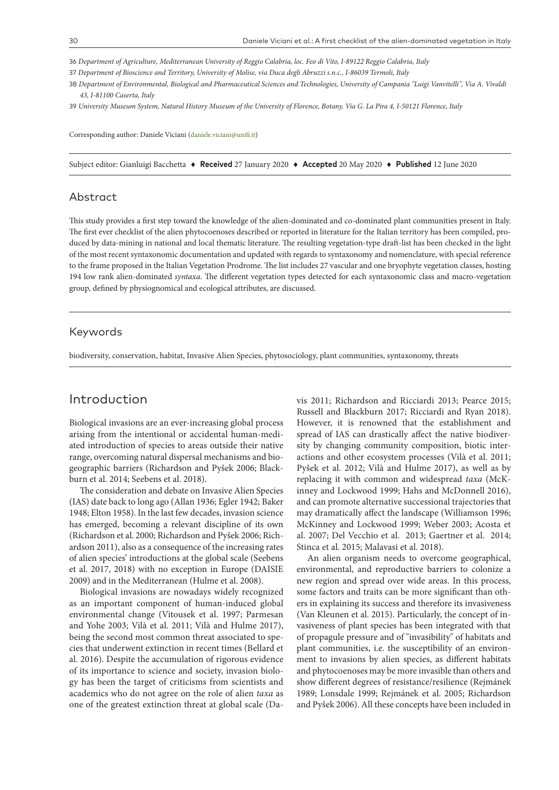36 *Department of Agriculture, Mediterranean University of Reggio Calabria, loc. Feo di Vito, I-89122 Reggio Calabria, Italy*

37 *Department of Bioscience and Territory, University of Molise, via Duca degli Abruzzi s.n.c., I-86039 Termoli, Italy*

38 *Department of Environmental, Biological and Pharmaceutical Sciences and Technologies, University of Campania "Luigi Vanvitelli", Via A. Vivaldi 43, I-81100 Caserta, Italy*

39 *University Museum System, Natural History Museum of the University of Florence, Botany, Via G. La Pira 4, I-50121 Florence, Italy*

Corresponding author: Daniele Viciani [\(daniele.viciani@unifi.it](mailto:daniele.viciani@unifi.it))

Subject editor: Gianluigi Bacchetta ♦ **Received** 27 January 2020 ♦ **Accepted** 20 May 2020 ♦ **Published** 12 June 2020

### Abstract

This study provides a first step toward the knowledge of the alien-dominated and co-dominated plant communities present in Italy. The first ever checklist of the alien phytocoenoses described or reported in literature for the Italian territory has been compiled, produced by data-mining in national and local thematic literature. The resulting vegetation-type draft-list has been checked in the light of the most recent syntaxonomic documentation and updated with regards to syntaxonomy and nomenclature, with special reference to the frame proposed in the Italian Vegetation Prodrome. The list includes 27 vascular and one bryophyte vegetation classes, hosting 194 low rank alien-dominated *syntaxa*. The different vegetation types detected for each syntaxonomic class and macro-vegetation group, defined by physiognomical and ecological attributes, are discussed.

### Keywords

biodiversity, conservation, habitat, Invasive Alien Species, phytosociology, plant communities, syntaxonomy, threats

# Introduction

Biological invasions are an ever-increasing global process arising from the intentional or accidental human-mediated introduction of species to areas outside their native range, overcoming natural dispersal mechanisms and biogeographic barriers (Richardson and Pyšek 2006; Blackburn et al. 2014; Seebens et al. 2018).

The consideration and debate on Invasive Alien Species (IAS) date back to long ago (Allan 1936; Egler 1942; Baker 1948; Elton 1958). In the last few decades, invasion science has emerged, becoming a relevant discipline of its own (Richardson et al. 2000; Richardson and Pyšek 2006; Richardson 2011), also as a consequence of the increasing rates of alien species' introductions at the global scale (Seebens et al. 2017, 2018) with no exception in Europe (DAISIE 2009) and in the Mediterranean (Hulme et al. 2008).

Biological invasions are nowadays widely recognized as an important component of human-induced global environmental change (Vitousek et al. 1997; Parmesan and Yohe 2003; Vilà et al. 2011; Vilà and Hulme 2017), being the second most common threat associated to species that underwent extinction in recent times (Bellard et al. 2016). Despite the accumulation of rigorous evidence of its importance to science and society, invasion biology has been the target of criticisms from scientists and academics who do not agree on the role of alien *taxa* as one of the greatest extinction threat at global scale (Davis 2011; Richardson and Ricciardi 2013; Pearce 2015; Russell and Blackburn 2017; Ricciardi and Ryan 2018). However, it is renowned that the establishment and spread of IAS can drastically affect the native biodiversity by changing community composition, biotic interactions and other ecosystem processes (Vilà et al. 2011; Pyšek et al. 2012; Vilà and Hulme 2017), as well as by replacing it with common and widespread *taxa* (McKinney and Lockwood 1999; Hahs and McDonnell 2016), and can promote alternative successional trajectories that may dramatically affect the landscape (Williamson 1996; McKinney and Lockwood 1999; Weber 2003; Acosta et al. 2007; Del Vecchio et al. 2013; Gaertner et al. 2014; Stinca et al. 2015; Malavasi et al. 2018).

An alien organism needs to overcome geographical, environmental, and reproductive barriers to colonize a new region and spread over wide areas. In this process, some factors and traits can be more significant than others in explaining its success and therefore its invasiveness (Van Kleunen et al. 2015). Particularly, the concept of invasiveness of plant species has been integrated with that of propagule pressure and of "invasibility" of habitats and plant communities, i.e. the susceptibility of an environment to invasions by alien species, as different habitats and phytocoenoses may be more invasible than others and show different degrees of resistance/resilience (Rejmánek 1989; Lonsdale 1999; Rejmánek et al. 2005; Richardson and Pyšek 2006). All these concepts have been included in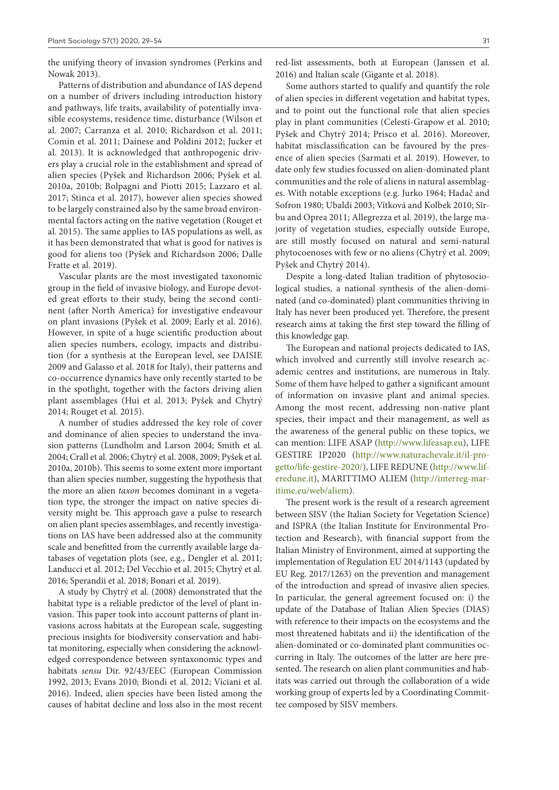the unifying theory of invasion syndromes (Perkins and Nowak 2013).

Patterns of distribution and abundance of IAS depend on a number of drivers including introduction history and pathways, life traits, availability of potentially invasible ecosystems, residence time, disturbance (Wilson et al. 2007; Carranza et al. 2010; Richardson et al. 2011; Comin et al. 2011; Dainese and Poldini 2012; Jucker et al. 2013). It is acknowledged that anthropogenic drivers play a crucial role in the establishment and spread of alien species (Pyšek and Richardson 2006; Pyšek et al. 2010a, 2010b; Bolpagni and Piotti 2015; Lazzaro et al. 2017; Stinca et al. 2017), however alien species showed to be largely constrained also by the same broad environmental factors acting on the native vegetation (Rouget et al. 2015). The same applies to IAS populations as well, as it has been demonstrated that what is good for natives is good for aliens too (Pyšek and Richardson 2006; Dalle Fratte et al. 2019).

Vascular plants are the most investigated taxonomic group in the field of invasive biology, and Europe devoted great efforts to their study, being the second continent (after North America) for investigative endeavour on plant invasions (Pyšek et al. 2009; Early et al. 2016). However, in spite of a huge scientific production about alien species numbers, ecology, impacts and distribution (for a synthesis at the European level, see DAISIE 2009 and Galasso et al. 2018 for Italy), their patterns and co-occurrence dynamics have only recently started to be in the spotlight, together with the factors driving alien plant assemblages (Hui et al. 2013; Pyšek and Chytrý 2014; Rouget et al. 2015).

A number of studies addressed the key role of cover and dominance of alien species to understand the invasion patterns (Lundholm and Larson 2004; Smith et al. 2004; Crall et al. 2006; Chytrý et al. 2008, 2009; Pyšek et al. 2010a, 2010b). This seems to some extent more important than alien species number, suggesting the hypothesis that the more an alien *taxon* becomes dominant in a vegetation type, the stronger the impact on native species diversity might be. This approach gave a pulse to research on alien plant species assemblages, and recently investigations on IAS have been addressed also at the community scale and benefitted from the currently available large databases of vegetation plots (see, e.g., Dengler et al. 2011; Landucci et al. 2012; Del Vecchio et al. 2015; Chytrý et al. 2016; Sperandii et al. 2018; Bonari et al. 2019).

A study by Chytrý et al. (2008) demonstrated that the habitat type is a reliable predictor of the level of plant invasion. This paper took into account patterns of plant invasions across habitats at the European scale, suggesting precious insights for biodiversity conservation and habitat monitoring, especially when considering the acknowledged correspondence between syntaxonomic types and habitats *sensu* Dir. 92/43/EEC (European Commission 1992, 2013; Evans 2010; Biondi et al. 2012; Viciani et al. 2016). Indeed, alien species have been listed among the causes of habitat decline and loss also in the most recent red-list assessments, both at European (Janssen et al. 2016) and Italian scale (Gigante et al. 2018).

Some authors started to qualify and quantify the role of alien species in different vegetation and habitat types, and to point out the functional role that alien species play in plant communities (Celesti-Grapow et al. 2010; Pyšek and Chytrý 2014; Prisco et al. 2016). Moreover, habitat misclassification can be favoured by the presence of alien species (Sarmati et al. 2019). However, to date only few studies focussed on alien-dominated plant communities and the role of aliens in natural assemblages. With notable exceptions (e.g. Jurko 1964; Hadač and Sofron 1980; Ubaldi 2003; Vítková and Kolbek 2010; Sîrbu and Oprea 2011; Allegrezza et al. 2019), the large majority of vegetation studies, especially outside Europe, are still mostly focused on natural and semi-natural phytocoenoses with few or no aliens (Chytrý et al. 2009; Pyšek and Chytrý 2014).

Despite a long-dated Italian tradition of phytosociological studies, a national synthesis of the alien-dominated (and co-dominated) plant communities thriving in Italy has never been produced yet. Therefore, the present research aims at taking the first step toward the filling of this knowledge gap.

The European and national projects dedicated to IAS, which involved and currently still involve research academic centres and institutions, are numerous in Italy. Some of them have helped to gather a significant amount of information on invasive plant and animal species. Among the most recent, addressing non-native plant species, their impact and their management, as well as the awareness of the general public on these topics, we can mention: LIFE ASAP (<http://www.lifeasap.eu>), LIFE GESTIRE IP2020 ([http://www.naturachevale.it/il-pro](http://www.naturachevale.it/il-progetto/life-gestire-2020/)[getto/life-gestire-2020/](http://www.naturachevale.it/il-progetto/life-gestire-2020/)), LIFE REDUNE [\(http://www.lif](http://www.liferedune.it)[eredune.it](http://www.liferedune.it)), MARITTIMO ALIEM ([http://interreg-mar](http://interreg-maritime.eu/web/aliem)[itime.eu/web/aliem\)](http://interreg-maritime.eu/web/aliem).

The present work is the result of a research agreement between SISV (the Italian Society for Vegetation Science) and ISPRA (the Italian Institute for Environmental Protection and Research), with financial support from the Italian Ministry of Environment, aimed at supporting the implementation of Regulation EU 2014/1143 (updated by EU Reg. 2017/1263) on the prevention and management of the introduction and spread of invasive alien species. In particular, the general agreement focused on: i) the update of the Database of Italian Alien Species (DIAS) with reference to their impacts on the ecosystems and the most threatened habitats and ii) the identification of the alien-dominated or co-dominated plant communities occurring in Italy. The outcomes of the latter are here presented. The research on alien plant communities and habitats was carried out through the collaboration of a wide working group of experts led by a Coordinating Committee composed by SISV members.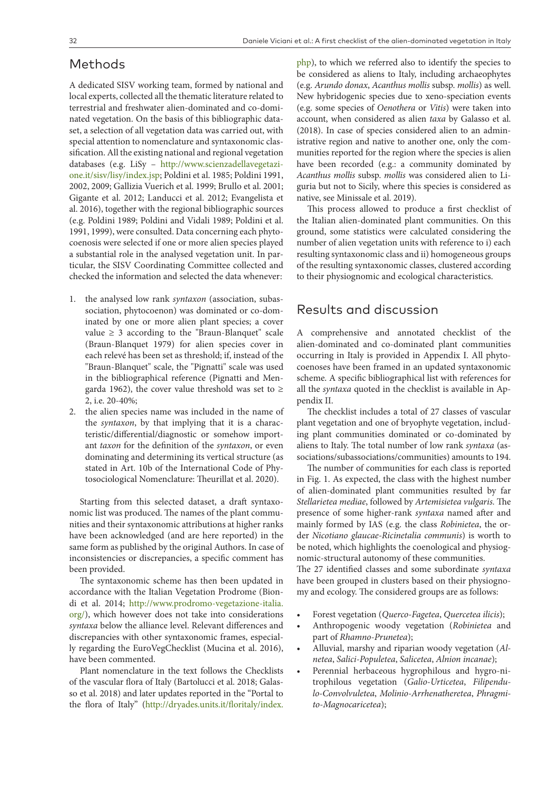### Methods

A dedicated SISV working team, formed by national and local experts, collected all the thematic literature related to terrestrial and freshwater alien-dominated and co-dominated vegetation. On the basis of this bibliographic dataset, a selection of all vegetation data was carried out, with special attention to nomenclature and syntaxonomic classification. All the existing national and regional vegetation databases (e.g. LiSy – [http://www.scienzadellavegetazi](http://www.scienzadellavegetazione.it/sisv/lisy/index.jsp)[one.it/sisv/lisy/index.jsp](http://www.scienzadellavegetazione.it/sisv/lisy/index.jsp); Poldini et al. 1985; Poldini 1991, 2002, 2009; Gallizia Vuerich et al. 1999; Brullo et al. 2001; Gigante et al. 2012; Landucci et al. 2012; Evangelista et al. 2016), together with the regional bibliographic sources (e.g. Poldini 1989; Poldini and Vidali 1989; Poldini et al. 1991, 1999), were consulted. Data concerning each phytocoenosis were selected if one or more alien species played a substantial role in the analysed vegetation unit. In particular, the SISV Coordinating Committee collected and checked the information and selected the data whenever:

- 1. the analysed low rank *syntaxon* (association, subassociation, phytocoenon) was dominated or co-dominated by one or more alien plant species; a cover value  $\geq$  3 according to the "Braun-Blanquet" scale (Braun-Blanquet 1979) for alien species cover in each relevé has been set as threshold; if, instead of the "Braun-Blanquet" scale, the "Pignatti" scale was used in the bibliographical reference (Pignatti and Mengarda 1962), the cover value threshold was set to  $\geq$ 2, i.e. 20-40%;
- 2. the alien species name was included in the name of the *syntaxon*, by that implying that it is a characteristic/differential/diagnostic or somehow important *taxon* for the definition of the *syntaxon*, or even dominating and determining its vertical structure (as stated in Art. 10b of the International Code of Phytosociological Nomenclature: Theurillat et al. 2020).

Starting from this selected dataset, a draft syntaxonomic list was produced. The names of the plant communities and their syntaxonomic attributions at higher ranks have been acknowledged (and are here reported) in the same form as published by the original Authors. In case of inconsistencies or discrepancies, a specific comment has been provided.

The syntaxonomic scheme has then been updated in accordance with the Italian Vegetation Prodrome (Biondi et al. 2014; [http://www.prodromo-vegetazione-italia.](http://www.prodromo-vegetazione-italia.org/) [org/](http://www.prodromo-vegetazione-italia.org/)), which however does not take into considerations *syntaxa* below the alliance level. Relevant differences and discrepancies with other syntaxonomic frames, especially regarding the EuroVegChecklist (Mucina et al. 2016), have been commented.

Plant nomenclature in the text follows the Checklists of the vascular flora of Italy (Bartolucci et al. 2018; Galasso et al. 2018) and later updates reported in the "Portal to the flora of Italy" ([http://dryades.units.it/floritaly/index.](http://dryades.units.it/floritaly/index.php)

[php](http://dryades.units.it/floritaly/index.php)), to which we referred also to identify the species to be considered as aliens to Italy, including archaeophytes (e.g. *Arundo donax*, *Acanthus mollis* subsp. *mollis*) as well. New hybridogenic species due to xeno-speciation events (e.g. some species of *Oenothera* or *Vitis*) were taken into account, when considered as alien *taxa* by Galasso et al. (2018). In case of species considered alien to an administrative region and native to another one, only the communities reported for the region where the species is alien have been recorded (e.g.: a community dominated by *Acanthus mollis* subsp. *mollis* was considered alien to Liguria but not to Sicily, where this species is considered as native, see Minissale et al. 2019).

This process allowed to produce a first checklist of the Italian alien-dominated plant communities. On this ground, some statistics were calculated considering the number of alien vegetation units with reference to i) each resulting syntaxonomic class and ii) homogeneous groups of the resulting syntaxonomic classes, clustered according to their physiognomic and ecological characteristics.

# Results and discussion

A comprehensive and annotated checklist of the alien-dominated and co-dominated plant communities occurring in Italy is provided in Appendix I. All phytocoenoses have been framed in an updated syntaxonomic scheme. A specific bibliographical list with references for all the *syntaxa* quoted in the checklist is available in Appendix II.

The checklist includes a total of 27 classes of vascular plant vegetation and one of bryophyte vegetation, including plant communities dominated or co-dominated by aliens to Italy. The total number of low rank *syntaxa* (associations/subassociations/communities) amounts to 194.

The number of communities for each class is reported in Fig. 1. As expected, the class with the highest number of alien-dominated plant communities resulted by far *Stellarietea mediae*, followed by *Artemisietea vulgaris.* The presence of some higher-rank *syntaxa* named after and mainly formed by IAS (e.g. the class *Robinietea*, the order *Nicotiano glaucae-Ricinetalia communis*) is worth to be noted, which highlights the coenological and physiognomic-structural autonomy of these communities. The 27 identified classes and some subordinate *syntaxa* have been grouped in clusters based on their physiogno-

• Forest vegetation (*Querco-Fagetea*, *Quercetea ilicis*);

my and ecology. The considered groups are as follows:

- Anthropogenic woody vegetation (*Robinietea* and part of *Rhamno-Prunetea*);
- Alluvial, marshy and riparian woody vegetation (*Alnetea*, *Salici-Populetea*, *Salicetea*, *Alnion incanae*);
- Perennial herbaceous hygrophilous and hygro-nitrophilous vegetation (*Galio-Urticetea*, *Filipendulo-Convolvuletea*, *Molinio-Arrhenatheretea*, *Phragmito-Magnocaricetea*);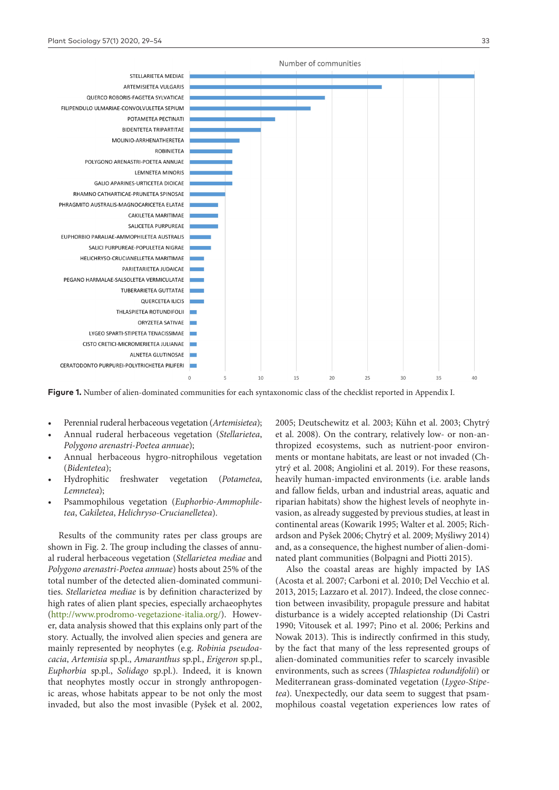

**Figure 1.** Number of alien-dominated communities for each syntaxonomic class of the checklist reported in Appendix I.

- Perennial ruderal herbaceous vegetation (*Artemisietea*);
- Annual ruderal herbaceous vegetation (*Stellarietea*, *Polygono arenastri-Poetea annuae*);
- Annual herbaceous hygro-nitrophilous vegetation (*Bidentetea*);
- Hydrophitic freshwater vegetation (*Potametea*, *Lemnetea*);
- Psammophilous vegetation (*Euphorbio-Ammophiletea*, *Cakiletea*, *Helichryso-Crucianelletea*).

Results of the community rates per class groups are shown in Fig. 2. The group including the classes of annual ruderal herbaceous vegetation (*Stellarietea mediae* and *Polygono arenastri-Poetea annuae*) hosts about 25% of the total number of the detected alien-dominated communities. *Stellarietea mediae* is by definition characterized by high rates of alien plant species, especially archaeophytes [\(http://www.prodromo-vegetazione-italia.org/](http://www.prodromo-vegetazione-italia.org/)). However, data analysis showed that this explains only part of the story. Actually, the involved alien species and genera are mainly represented by neophytes (e.g. *Robinia pseudoacacia*, *Artemisia* sp.pl., *Amaranthus* sp.pl., *Erigeron* sp.pl., *Euphorbia* sp.pl., *Solidago* sp.pl.). Indeed, it is known that neophytes mostly occur in strongly anthropogenic areas, whose habitats appear to be not only the most invaded, but also the most invasible (Pyšek et al. 2002, 2005; Deutschewitz et al. 2003; Kühn et al. 2003; Chytrý et al. 2008). On the contrary, relatively low- or non-anthropized ecosystems, such as nutrient-poor environments or montane habitats, are least or not invaded (Chytrý et al. 2008; Angiolini et al. 2019). For these reasons, heavily human-impacted environments (i.e. arable lands and fallow fields, urban and industrial areas, aquatic and riparian habitats) show the highest levels of neophyte invasion, as already suggested by previous studies, at least in continental areas (Kowarik 1995; Walter et al. 2005; Richardson and Pyšek 2006; Chytrý et al. 2009; Myśliwy 2014) and, as a consequence, the highest number of alien-dominated plant communities (Bolpagni and Piotti 2015).

Also the coastal areas are highly impacted by IAS (Acosta et al. 2007; Carboni et al. 2010; Del Vecchio et al. 2013, 2015; Lazzaro et al. 2017). Indeed, the close connection between invasibility, propagule pressure and habitat disturbance is a widely accepted relationship (Di Castri 1990; Vitousek et al. 1997; Pino et al. 2006; Perkins and Nowak 2013). This is indirectly confirmed in this study, by the fact that many of the less represented groups of alien-dominated communities refer to scarcely invasible environments, such as screes (*Thlaspietea rodundifolii*) or Mediterranean grass-dominated vegetation (*Lygeo-Stipetea*). Unexpectedly, our data seem to suggest that psammophilous coastal vegetation experiences low rates of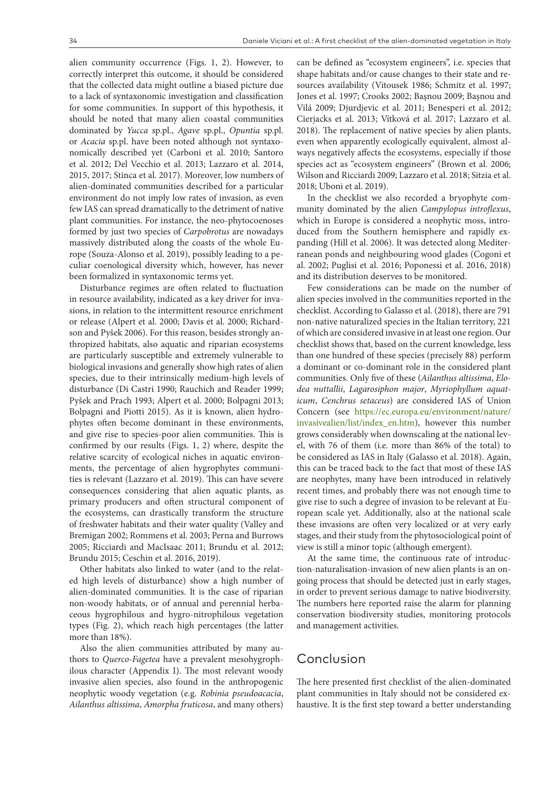alien community occurrence (Figs. 1, 2). However, to correctly interpret this outcome, it should be considered that the collected data might outline a biased picture due to a lack of syntaxonomic investigation and classification for some communities. In support of this hypothesis, it should be noted that many alien coastal communities dominated by *Yucca* sp.pl., *Agave* sp.pl., *Opuntia* sp.pl. or *Acacia* sp.pl. have been noted although not syntaxonomically described yet (Carboni et al. 2010; Santoro et al. 2012; Del Vecchio et al. 2013; Lazzaro et al. 2014, 2015, 2017; Stinca et al. 2017). Moreover, low numbers of alien-dominated communities described for a particular environment do not imply low rates of invasion, as even few IAS can spread dramatically to the detriment of native plant communities. For instance, the neo-phytocoenoses formed by just two species of *Carpobrotus* are nowadays massively distributed along the coasts of the whole Europe (Souza-Alonso et al. 2019), possibly leading to a peculiar coenological diversity which, however, has never been formalized in syntaxonomic terms yet.

Disturbance regimes are often related to fluctuation in resource availability, indicated as a key driver for invasions, in relation to the intermittent resource enrichment or release (Alpert et al. 2000; Davis et al. 2000; Richardson and Pyšek 2006). For this reason, besides strongly anthropized habitats, also aquatic and riparian ecosystems are particularly susceptible and extremely vulnerable to biological invasions and generally show high rates of alien species, due to their intrinsically medium-high levels of disturbance (Di Castri 1990; Rauchich and Reader 1999; Pyšek and Prach 1993; Alpert et al. 2000; Bolpagni 2013; Bolpagni and Piotti 2015). As it is known, alien hydrophytes often become dominant in these environments, and give rise to species-poor alien communities. This is confirmed by our results (Figs. 1, 2) where, despite the relative scarcity of ecological niches in aquatic environments, the percentage of alien hygrophytes communities is relevant (Lazzaro et al. 2019). This can have severe consequences considering that alien aquatic plants, as primary producers and often structural component of the ecosystems, can drastically transform the structure of freshwater habitats and their water quality (Valley and Bremigan 2002; Rommens et al. 2003; Perna and Burrows 2005; Ricciardi and MacIsaac 2011; Brundu et al. 2012; Brundu 2015; Ceschin et al. 2016, 2019).

Other habitats also linked to water (and to the related high levels of disturbance) show a high number of alien-dominated communities. It is the case of riparian non-woody habitats, or of annual and perennial herbaceous hygrophilous and hygro-nitrophilous vegetation types (Fig. 2), which reach high percentages (the latter more than 18%).

Also the alien communities attributed by many authors to *Querco-Fagetea* have a prevalent mesohygrophilous character (Appendix I). The most relevant woody invasive alien species, also found in the anthropogenic neophytic woody vegetation (e.g. *Robinia pseudoacacia*, *Ailanthus altissima*, *Amorpha fruticosa*, and many others)

can be defined as "ecosystem engineers", i.e. species that shape habitats and/or cause changes to their state and resources availability (Vitousek 1986; Schmitz et al. 1997; Jones et al. 1997; Crooks 2002; Başnou 2009; Başnou and Vilá 2009; Djurdjevic et al. 2011; Benesperi et al. 2012; Cierjacks et al. 2013; Vítková et al. 2017; Lazzaro et al. 2018). The replacement of native species by alien plants, even when apparently ecologically equivalent, almost always negatively affects the ecosystems, especially if those species act as "ecosystem engineers" (Brown et al. 2006; Wilson and Ricciardi 2009; Lazzaro et al. 2018; Sitzia et al. 2018; Uboni et al. 2019).

In the checklist we also recorded a bryophyte community dominated by the alien *Campylopus introflexus*, which in Europe is considered a neophytic moss, introduced from the Southern hemisphere and rapidly expanding (Hill et al. 2006). It was detected along Mediterranean ponds and neighbouring wood glades (Cogoni et al. 2002; Puglisi et al. 2016; Poponessi et al. 2016, 2018) and its distribution deserves to be monitored.

Few considerations can be made on the number of alien species involved in the communities reported in the checklist. According to Galasso et al. (2018), there are 791 non-native naturalized species in the Italian territory, 221 of which are considered invasive in at least one region. Our checklist shows that, based on the current knowledge, less than one hundred of these species (precisely 88) perform a dominant or co-dominant role in the considered plant communities. Only five of these (*Ailanthus altissima*, *Elodea nuttallii*, *Lagarosiphon major*, *Myriophyllum aquaticum*, *Cenchrus setaceus*) are considered IAS of Union Concern (see [https://ec.europa.eu/environment/nature/](https://ec.europa.eu/environment/nature/invasivealien/list/index_en.htm) [invasivealien/list/index\\_en.htm\)](https://ec.europa.eu/environment/nature/invasivealien/list/index_en.htm), however this number grows considerably when downscaling at the national level, with 76 of them (i.e. more than 86% of the total) to be considered as IAS in Italy (Galasso et al. 2018). Again, this can be traced back to the fact that most of these IAS are neophytes, many have been introduced in relatively recent times, and probably there was not enough time to give rise to such a degree of invasion to be relevant at European scale yet. Additionally, also at the national scale these invasions are often very localized or at very early stages, and their study from the phytosociological point of view is still a minor topic (although emergent).

At the same time, the continuous rate of introduction-naturalisation-invasion of new alien plants is an ongoing process that should be detected just in early stages, in order to prevent serious damage to native biodiversity. The numbers here reported raise the alarm for planning conservation biodiversity studies, monitoring protocols and management activities.

### Conclusion

The here presented first checklist of the alien-dominated plant communities in Italy should not be considered exhaustive. It is the first step toward a better understanding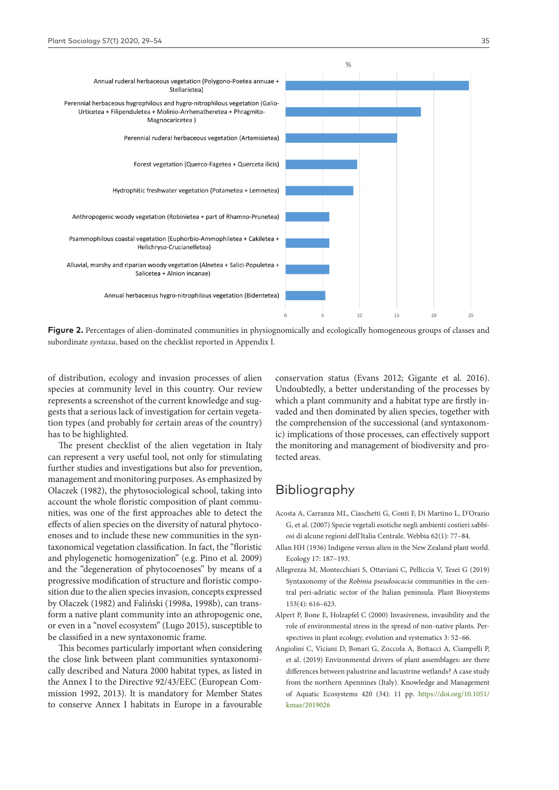

Figure 2. Percentages of alien-dominated communities in physiognomically and ecologically homogeneous groups of classes and subordinate *syntaxa*, based on the checklist reported in Appendix I.

of distribution, ecology and invasion processes of alien species at community level in this country. Our review represents a screenshot of the current knowledge and suggests that a serious lack of investigation for certain vegetation types (and probably for certain areas of the country) has to be highlighted.

The present checklist of the alien vegetation in Italy can represent a very useful tool, not only for stimulating further studies and investigations but also for prevention, management and monitoring purposes. As emphasized by Olaczek (1982), the phytosociological school, taking into account the whole floristic composition of plant communities, was one of the first approaches able to detect the effects of alien species on the diversity of natural phytocoenoses and to include these new communities in the syntaxonomical vegetation classification. In fact, the "floristic and phylogenetic homogenization" (e.g. Pino et al. 2009) and the "degeneration of phytocoenoses" by means of a progressive modification of structure and floristic composition due to the alien species invasion, concepts expressed by Olaczek (1982) and Faliński (1998a, 1998b), can transform a native plant community into an athropogenic one, or even in a "novel ecosystem" (Lugo 2015), susceptible to be classified in a new syntaxonomic frame.

This becomes particularly important when considering the close link between plant communities syntaxonomically described and Natura 2000 habitat types, as listed in the Annex I to the Directive 92/43/EEC (European Commission 1992, 2013). It is mandatory for Member States to conserve Annex I habitats in Europe in a favourable conservation status (Evans 2012; Gigante et al. 2016). Undoubtedly, a better understanding of the processes by which a plant community and a habitat type are firstly invaded and then dominated by alien species, together with the comprehension of the successional (and syntaxonomic) implications of those processes, can effectively support the monitoring and management of biodiversity and protected areas.

# Bibliography

- Acosta A, Carranza ML, Ciaschetti G, Conti F, Di Martino L, D'Orazio G, et al. (2007) Specie vegetali esotiche negli ambienti costieri sabbiosi di alcune regioni dell'Italia Centrale. Webbia 62(1): 77–84.
- Allan HH (1936) Indigene versus alien in the New Zealand plant world. Ecology 17: 187–193.
- Allegrezza M, Montecchiari S, Ottaviani C, Pelliccia V, Tesei G (2019) Syntaxonomy of the *Robinia pseudoacacia* communities in the central peri-adriatic sector of the Italian peninsula. Plant Biosystems 153(4): 616–623.
- Alpert P, Bone E, Holzapfel C (2000) Invasiveness, invasibility and the role of environmental stress in the spread of non-native plants. Perspectives in plant ecology, evolution and systematics 3: 52–66.
- Angiolini C, Viciani D, Bonari G, Zoccola A, Bottacci A, Ciampelli P, et al. (2019) Environmental drivers of plant assemblages: are there differences between palustrine and lacustrine wetlands? A case study from the northern Apennines (Italy). Knowledge and Management of Aquatic Ecosystems 420 (34): 11 pp. [https://doi.org/10.1051/](https://doi.org/10.1051/kmae/2019026) [kmae/2019026](https://doi.org/10.1051/kmae/2019026)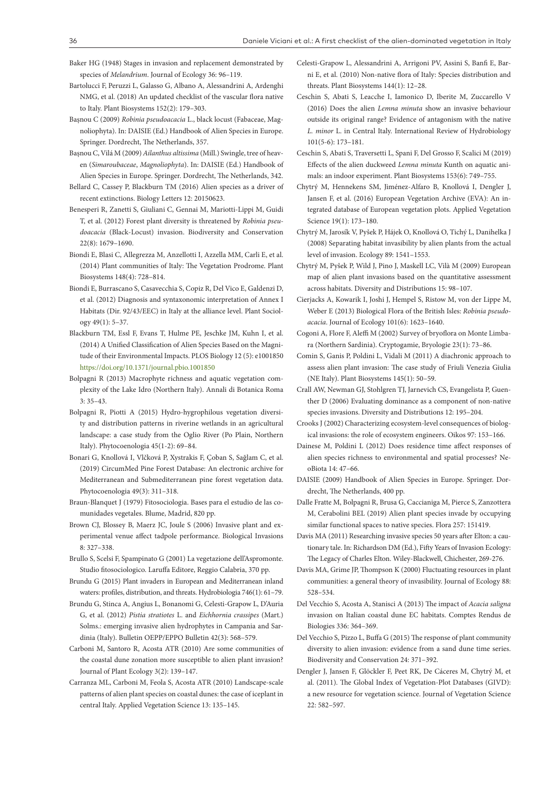- Baker HG (1948) Stages in invasion and replacement demonstrated by species of *Melandrium*. Journal of Ecology 36: 96–119.
- Bartolucci F, Peruzzi L, Galasso G, Albano A, Alessandrini A, Ardenghi NMG, et al. (2018) An updated checklist of the vascular flora native to Italy. Plant Biosystems 152(2): 179–303.
- Başnou C (2009) *Robinia pseudoacacia* L., black locust (Fabaceae, Magnoliophyta). In: DAISIE (Ed.) Handbook of Alien Species in Europe. Springer. Dordrecht, The Netherlands, 357.
- Başnou C, Vilá M (2009) *Ailanthus altissima* (Mill.) Swingle, tree of heaven (*Simaroubaceae*, *Magnoliophyta*). In: DAISIE (Ed.) Handbook of Alien Species in Europe. Springer. Dordrecht, The Netherlands, 342.
- Bellard C, Cassey P, Blackburn TM (2016) Alien species as a driver of recent extinctions. Biology Letters 12: 20150623.
- Benesperi R, Zanetti S, Giuliani C, Gennai M, Mariotti-Lippi M, Guidi T, et al. (2012) Forest plant diversity is threatened by *Robinia pseudoacacia* (Black-Locust) invasion. Biodiversity and Conservation 22(8): 1679–1690.
- Biondi E, Blasi C, Allegrezza M, Anzellotti I, Azzella MM, Carli E, et al. (2014) Plant communities of Italy: The Vegetation Prodrome. Plant Biosystems 148(4): 728–814.
- Biondi E, Burrascano S, Casavecchia S, Copiz R, Del Vico E, Galdenzi D, et al. (2012) Diagnosis and syntaxonomic interpretation of Annex I Habitats (Dir. 92/43/EEC) in Italy at the alliance level. Plant Sociology 49(1): 5–37.
- Blackburn TM, Essl F, Evans T, Hulme PE, Jeschke JM, Kuhn I, et al. (2014) A Unified Classification of Alien Species Based on the Magnitude of their Environmental Impacts. PLOS Biology 12 (5): e1001850 <https://doi.org/10.1371/journal.pbio.1001850>
- Bolpagni R (2013) Macrophyte richness and aquatic vegetation complexity of the Lake Idro (Northern Italy). Annali di Botanica Roma  $3:35-43$
- Bolpagni R, Piotti A (2015) Hydro-hygrophilous vegetation diversity and distribution patterns in riverine wetlands in an agricultural landscape: a case study from the Oglio River (Po Plain, Northern Italy). Phytocoenologia 45(1-2): 69–84.
- Bonari G, Knollová I, Vlčková P, Xystrakis F, Çoban S, Sağlam C, et al. (2019) CircumMed Pine Forest Database: An electronic archive for Mediterranean and Submediterranean pine forest vegetation data. Phytocoenologia 49(3): 311–318.
- Braun-Blanquet J (1979) Fitosociologia. Bases para el estudio de las comunidades vegetales. Blume, Madrid, 820 pp.
- Brown CJ, Blossey B, Maerz JC, Joule S (2006) Invasive plant and experimental venue affect tadpole performance. Biological Invasions 8: 327–338.
- Brullo S, Scelsi F, Spampinato G (2001) La vegetazione dell'Aspromonte. Studio fitosociologico. Laruffa Editore, Reggio Calabria, 370 pp.
- Brundu G (2015) Plant invaders in European and Mediterranean inland waters: profiles, distribution, and threats. Hydrobiologia 746(1): 61–79.
- Brundu G, Stinca A, Angius L, Bonanomi G, Celesti-Grapow L, D'Auria G, et al. (2012) *Pistia stratiotes* L. and *Eichhornia crassipes* (Mart.) Solms.: emerging invasive alien hydrophytes in Campania and Sardinia (Italy). Bulletin OEPP/EPPO Bulletin 42(3): 568–579.
- Carboni M, Santoro R, Acosta ATR (2010) Are some communities of the coastal dune zonation more susceptible to alien plant invasion? Journal of Plant Ecology 3(2): 139–147.
- Carranza ML, Carboni M, Feola S, Acosta ATR (2010) Landscape-scale patterns of alien plant species on coastal dunes: the case of iceplant in central Italy. Applied Vegetation Science 13: 135–145.
- Celesti-Grapow L, Alessandrini A, Arrigoni PV, Assini S, Banfi E, Barni E, et al. (2010) Non-native flora of Italy: Species distribution and threats. Plant Biosystems 144(1): 12–28.
- Ceschin S, Abati S, Leacche I, Iamonico D, Iberite M, Zuccarello V (2016) Does the alien *Lemna minuta* show an invasive behaviour outside its original range? Evidence of antagonism with the native *L. minor* L. in Central Italy. International Review of Hydrobiology 101(5-6): 173–181.
- Ceschin S, Abati S, Traversetti L, Spani F, Del Grosso F, Scalici M (2019) Effects of the alien duckweed *Lemna minuta* Kunth on aquatic animals: an indoor experiment. Plant Biosystems 153(6): 749–755.
- Chytrý M, Hennekens SM, Jiménez-Alfaro B, Knollová I, Dengler J, Jansen F, et al. (2016) European Vegetation Archive (EVA): An integrated database of European vegetation plots. Applied Vegetation Science 19(1): 173–180.
- Chytrý M, Jarosík V, Pyšek P, Hájek O, Knollová O, Tichý L, Danihelka J (2008) Separating habitat invasibility by alien plants from the actual level of invasion. Ecology 89: 1541–1553.
- Chytrý M, Pyšek P, Wild J, Pino J, Maskell LC, Vilà M (2009) European map of alien plant invasions based on the quantitative assessment across habitats. Diversity and Distributions 15: 98–107.
- Cierjacks A, Kowarik I, Joshi J, Hempel S, Ristow M, von der Lippe M, Weber E (2013) Biological Flora of the British Isles: *Robinia pseudoacacia*. Journal of Ecology 101(6): 1623–1640.
- Cogoni A, Flore F, Aleffi M (2002) Survey of bryoflora on Monte Limbara (Northern Sardinia). Cryptogamie, Bryologie 23(1): 73–86.
- Comin S, Ganis P, Poldini L, Vidali M (2011) A diachronic approach to assess alien plant invasion: The case study of Friuli Venezia Giulia (NE Italy). Plant Biosystems 145(1): 50–59.
- Crall AW, Newman GJ, Stohlgren TJ, Jarnevich CS, Evangelista P, Guenther D (2006) Evaluating dominance as a component of non-native species invasions. Diversity and Distributions 12: 195–204.
- Crooks J (2002) Characterizing ecosystem-level consequences of biological invasions: the role of ecosystem engineers. Oikos 97: 153–166.
- Dainese M, Poldini L (2012) Does residence time affect responses of alien species richness to environmental and spatial processes? NeoBiota 14: 47–66.
- DAISIE (2009) Handbook of Alien Species in Europe. Springer. Dordrecht, The Netherlands, 400 pp.
- Dalle Fratte M, Bolpagni R, Brusa G, Caccianiga M, Pierce S, Zanzottera M, Cerabolini BEL (2019) Alien plant species invade by occupying similar functional spaces to native species. Flora 257: 151419.
- Davis MA (2011) Researching invasive species 50 years after Elton: a cautionary tale. In: Richardson DM (Ed.), Fifty Years of Invasion Ecology: The Legacy of Charles Elton. Wiley-Blackwell, Chichester, 269-276.
- Davis MA, Grime JP, Thompson K (2000) Fluctuating resources in plant communities: a general theory of invasibility. Journal of Ecology 88: 528–534.
- Del Vecchio S, Acosta A, Stanisci A (2013) The impact of *Acacia saligna*  invasion on Italian coastal dune EC habitats. Comptes Rendus de Biologies 336: 364–369.
- Del Vecchio S, Pizzo L, Buffa G (2015) The response of plant community diversity to alien invasion: evidence from a sand dune time series. Biodiversity and Conservation 24: 371–392.
- Dengler J, Jansen F, Glöckler F, Peet RK, De Cáceres M, Chytrý M, et al. (2011). The Global Index of Vegetation-Plot Databases (GIVD): a new resource for vegetation science. Journal of Vegetation Science 22: 582–597.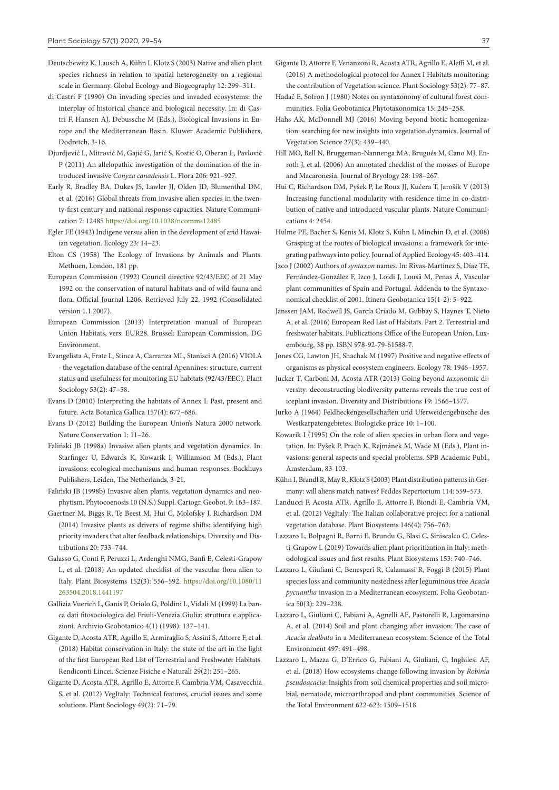- Deutschewitz K, Lausch A, Kühn I, Klotz S (2003) Native and alien plant species richness in relation to spatial heterogeneity on a regional scale in Germany. Global Ecology and Biogeography 12: 299–311.
- di Castri F (1990) On invading species and invaded ecosystems: the interplay of historical chance and biological necessity. In: di Castri F, Hansen AJ, Debussche M (Eds.), Biological Invasions in Europe and the Mediterranean Basin. Kluwer Academic Publishers, Dodretch, 3-16.
- Djurdjević L, Mitrović M, Gajić G, Jarić S, Kostić O, Oberan L, Pavlović P (2011) An allelopathic investigation of the domination of the introduced invasive *Conyza canadensis* L. Flora 206: 921–927.
- Early R, Bradley BA, Dukes JS, Lawler JJ, Olden JD, Blumenthal DM, et al. (2016) Global threats from invasive alien species in the twenty-first century and national response capacities. Nature Communication 7: 12485<https://doi.org/10.1038/ncomms12485>
- Egler FE (1942) Indigene versus alien in the development of arid Hawaiian vegetation. Ecology 23: 14–23.
- Elton CS (1958) The Ecology of Invasions by Animals and Plants. Methuen, London, 181 pp.
- European Commission (1992) Council directive 92/43/EEC of 21 May 1992 on the conservation of natural habitats and of wild fauna and flora. Official Journal L206. Retrieved July 22, 1992 (Consolidated version 1.1.2007).
- European Commission (2013) Interpretation manual of European Union Habitats, vers. EUR28. Brussel: European Commission, DG Environment.
- Evangelista A, Frate L, Stinca A, Carranza ML, Stanisci A (2016) VIOLA - the vegetation database of the central Apennines: structure, current status and usefulness for monitoring EU habitats (92/43/EEC). Plant Sociology 53(2): 47–58.
- Evans D (2010) Interpreting the habitats of Annex I. Past, present and future. Acta Botanica Gallica 157(4): 677–686.
- Evans D (2012) Building the European Union's Natura 2000 network. Nature Conservation 1: 11–26.
- Faliński JB (1998a) Invasive alien plants and vegetation dynamics. In: Starfinger U, Edwards K, Kowarik I, Williamson M (Eds.), Plant invasions: ecological mechanisms and human responses. Backhuys Publishers, Leiden, The Netherlands, 3-21.
- Faliński JB (1998b) Invasive alien plants, vegetation dynamics and neophytism. Phytocoenosis 10 (N.S.) Suppl. Cartogr. Geobot. 9: 163–187.
- Gaertner M, Biggs R, Te Beest M, Hui C, Molofsky J, Richardson DM (2014) Invasive plants as drivers of regime shifts: identifying high priority invaders that alter feedback relationships. Diversity and Distributions 20: 733–744.
- Galasso G, Conti F, Peruzzi L, Ardenghi NMG, Banfi E, Celesti-Grapow L, et al. (2018) An updated checklist of the vascular flora alien to Italy. Plant Biosystems 152(3): 556–592. [https://doi.org/10.1080/11](https://doi.org/10.1080/11263504.2018.1441197) [263504.2018.1441197](https://doi.org/10.1080/11263504.2018.1441197)
- Gallizia Vuerich L, Ganis P, Oriolo G, Poldini L, Vidali M (1999) La banca dati fitosociologica del Friuli-Venezia Giulia: struttura e applicazioni. Archivio Geobotanico 4(1) (1998): 137–141.
- Gigante D, Acosta ATR, Agrillo E, Armiraglio S, Assini S, Attorre F, et al. (2018) Habitat conservation in Italy: the state of the art in the light of the first European Red List of Terrestrial and Freshwater Habitats. Rendiconti Lincei. Scienze Fisiche e Naturali 29(2): 251–265.
- Gigante D, Acosta ATR, Agrillo E, Attorre F, Cambria VM, Casavecchia S, et al. (2012) VegItaly: Technical features, crucial issues and some solutions. Plant Sociology 49(2): 71–79.
- Gigante D, Attorre F, Venanzoni R, Acosta ATR, Agrillo E, Aleffi M, et al. (2016) A methodological protocol for Annex I Habitats monitoring: the contribution of Vegetation science. Plant Sociology 53(2): 77–87.
- Hadač E, Sofron J (1980) Notes on syntaxonomy of cultural forest communities. Folia Geobotanica Phytotaxonomica 15: 245–258.
- Hahs AK, McDonnell MJ (2016) Moving beyond biotic homogenization: searching for new insights into vegetation dynamics. Journal of Vegetation Science 27(3): 439–440.
- Hill MO, Bell N, Bruggeman-Nannenga MA, Brugués M, Cano MJ, Enroth J, et al. (2006) An annotated checklist of the mosses of Europe and Macaronesia. Journal of Bryology 28: 198–267.
- Hui C, Richardson DM, Pyšek P, Le Roux JJ, Kučera T, Jarošík V (2013) Increasing functional modularity with residence time in co-distribution of native and introduced vascular plants. Nature Communications 4: 2454.
- Hulme PE, Bacher S, Kenis M, Klotz S, Kühn I, Minchin D, et al. (2008) Grasping at the routes of biological invasions: a framework for integrating pathways into policy. Journal of Applied Ecology 45: 403–414.
- Jzco J (2002) Authors of *syntaxon* names. In: Rivas-Martínez S, Díaz TE, Fernández-González F, Izco J, Loidi J, Lousã M, Penas Á, Vascular plant communities of Spain and Portugal. Addenda to the Syntaxonomical checklist of 2001. Itinera Geobotanica 15(1-2): 5–922.
- Janssen JAM, Rodwell JS, García Criado M, Gubbay S, Haynes T, Nieto A, et al. (2016) European Red List of Habitats. Part 2. Terrestrial and freshwater habitats. Publications Office of the European Union, Luxembourg, 38 pp. ISBN 978-92-79-61588-7.
- Jones CG, Lawton JH, Shachak M (1997) Positive and negative effects of organisms as physical ecosystem engineers. Ecology 78: 1946–1957.
- Jucker T, Carboni M, Acosta ATR (2013) Going beyond *taxon*omic diversity: deconstructing biodiversity patterns reveals the true cost of iceplant invasion. Diversity and Distributions 19: 1566–1577.
- Jurko A (1964) Feldheckengesellschaften und Uferweidengebüsche des Westkarpatengebietes. Biologicke práce 10: 1–100.
- Kowarik I (1995) On the role of alien species in urban flora and vegetation. In: Pyšek P, Prach K, Rejmánek M, Wade M (Eds.), Plant invasions: general aspects and special problems. SPB Academic Publ., Amsterdam, 83-103.
- Kühn I, Brandl R, May R, Klotz S (2003) Plant distribution patterns in Germany: will aliens match natives? Feddes Repertorium 114: 559–573.
- Landucci F, Acosta ATR, Agrillo E, Attorre F, Biondi E, Cambria VM, et al. (2012) VegItaly: The Italian collaborative project for a national vegetation database. Plant Biosystems 146(4): 756–763.
- Lazzaro L, Bolpagni R, Barni E, Brundu G, Blasi C, Siniscalco C, Celesti-Grapow L (2019) Towards alien plant prioritization in Italy: methodological issues and first results. Plant Biosystems 153: 740–746.
- Lazzaro L, Giuliani C, Benesperi R, Calamassi R, Foggi B (2015) Plant species loss and community nestedness after leguminous tree *Acacia pycnantha* invasion in a Mediterranean ecosystem. Folia Geobotanica 50(3): 229–238.
- Lazzaro L, Giuliani C, Fabiani A, Agnelli AE, Pastorelli R, Lagomarsino A, et al. (2014) Soil and plant changing after invasion: The case of *Acacia dealbata* in a Mediterranean ecosystem. Science of the Total Environment 497: 491–498.
- Lazzaro L, Mazza G, D'Errico G, Fabiani A, Giuliani, C, Inghilesi AF, et al. (2018) How ecosystems change following invasion by *Robinia pseudoacacia*: Insights from soil chemical properties and soil microbial, nematode, microarthropod and plant communities. Science of the Total Environment 622-623: 1509–1518.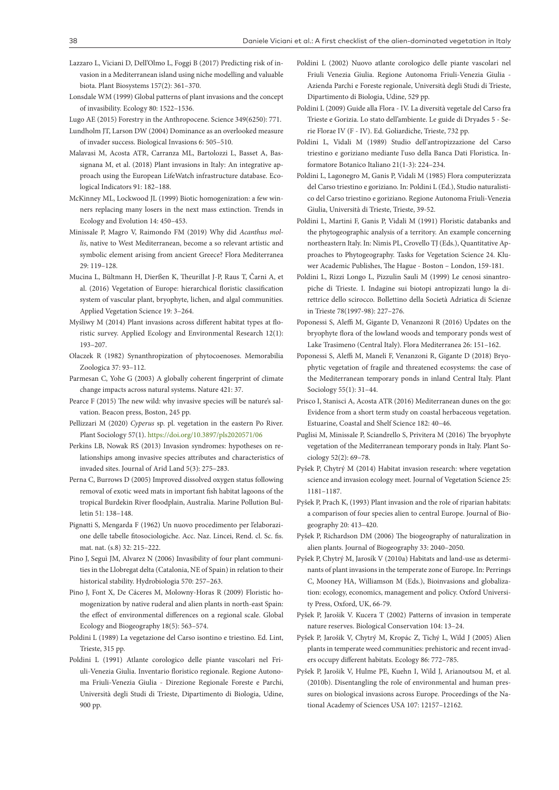- Lazzaro L, Viciani D, Dell'Olmo L, Foggi B (2017) Predicting risk of invasion in a Mediterranean island using niche modelling and valuable biota. Plant Biosystems 157(2): 361–370.
- Lonsdale WM (1999) Global patterns of plant invasions and the concept of invasibility. Ecology 80: 1522–1536.
- Lugo AE (2015) Forestry in the Anthropocene. Science 349(6250): 771.
- Lundholm JT, Larson DW (2004) Dominance as an overlooked measure of invader success. Biological Invasions 6: 505–510.
- Malavasi M, Acosta ATR, Carranza ML, Bartolozzi L, Basset A, Bassignana M, et al. (2018) Plant invasions in Italy: An integrative approach using the European LifeWatch infrastructure database. Ecological Indicators 91: 182–188.
- McKinney ML, Lockwood JL (1999) Biotic homogenization: a few winners replacing many losers in the next mass extinction. Trends in Ecology and Evolution 14: 450–453.
- Minissale P, Magro V, Raimondo FM (2019) Why did *Acanthus mollis*, native to West Mediterranean, become a so relevant artistic and symbolic element arising from ancient Greece? Flora Mediterranea 29: 119–128.
- Mucina L, Bültmann H, Dierßen K, Theurillat J-P, Raus T, Čarni A, et al. (2016) Vegetation of Europe: hierarchical floristic classification system of vascular plant, bryophyte, lichen, and algal communities. Applied Vegetation Science 19: 3–264.
- Myśliwy M (2014) Plant invasions across different habitat types at floristic survey. Applied Ecology and Environmental Research 12(1): 193–207.
- Olaczek R (1982) Synanthropization of phytocoenoses. Memorabilia Zoologica 37: 93–112.
- Parmesan C, Yohe G (2003) A globally coherent fingerprint of climate change impacts across natural systems. Nature 421: 37.
- Pearce F (2015) The new wild: why invasive species will be nature's salvation. Beacon press, Boston, 245 pp.
- Pellizzari M (2020) *Cyperus* sp. pl. vegetation in the eastern Po River. Plant Sociology 57(1).<https://doi.org/10.3897/pls2020571/06>
- Perkins LB, Nowak RS (2013) Invasion syndromes: hypotheses on relationships among invasive species attributes and characteristics of invaded sites. Journal of Arid Land 5(3): 275–283.
- Perna C, Burrows D (2005) Improved dissolved oxygen status following removal of exotic weed mats in important fish habitat lagoons of the tropical Burdekin River floodplain, Australia. Marine Pollution Bulletin 51: 138–148.
- Pignatti S, Mengarda F (1962) Un nuovo procedimento per l'elaborazione delle tabelle fitosociologiche. Acc. Naz. Lincei, Rend. cl. Sc. fis. mat. nat. (s.8) 32: 215–222.
- Pino J, Seguì JM, Alvarez N (2006) Invasibility of four plant communities in the Llobregat delta (Catalonia, NE of Spain) in relation to their historical stability. Hydrobiologia 570: 257–263.
- Pino J, Font X, De Cáceres M, Molowny-Horas R (2009) Floristic homogenization by native ruderal and alien plants in north-east Spain: the effect of environmental differences on a regional scale. Global Ecology and Biogeography 18(5): 563–574.
- Poldini L (1989) La vegetazione del Carso isontino e triestino. Ed. Lint, Trieste, 315 pp.
- Poldini L (1991) Atlante corologico delle piante vascolari nel Friuli-Venezia Giulia. Inventario floristico regionale. Regione Autonoma Friuli-Venezia Giulia - Direzione Regionale Foreste e Parchi, Università degli Studi di Trieste, Dipartimento di Biologia, Udine, 900 pp.
- Poldini L (2002) Nuovo atlante corologico delle piante vascolari nel Friuli Venezia Giulia. Regione Autonoma Friuli-Venezia Giulia - Azienda Parchi e Foreste regionale, Università degli Studi di Trieste, Dipartimento di Biologia, Udine, 529 pp.
- Poldini L (2009) Guide alla Flora IV. La diversità vegetale del Carso fra Trieste e Gorizia. Lo stato dell'ambiente. Le guide di Dryades 5 - Serie Florae IV (F - IV). Ed. Goliardiche, Trieste, 732 pp.
- Poldini L, Vidali M (1989) Studio dell'antropizzazione del Carso triestino e goriziano mediante l'uso della Banca Dati Floristica. Informatore Botanico Italiano 21(1-3): 224–234.
- Poldini L, Lagonegro M, Ganis P, Vidali M (1985) Flora computerizzata del Carso triestino e goriziano. In: Poldini L (Ed.), Studio naturalistico del Carso triestino e goriziano. Regione Autonoma Friuli-Venezia Giulia, Università di Trieste, Trieste, 39-52.
- Poldini L, Martini F, Ganis P, Vidali M (1991) Floristic databanks and the phytogeographic analysis of a territory. An example concerning northeastern Italy. In: Nimis PL, Crovello TJ (Eds.), Quantitative Approaches to Phytogeography. Tasks for Vegetation Science 24. Kluwer Academic Publishes, The Hague - Boston – London, 159-181.
- Poldini L, Rizzi Longo L, Pizzulin Sauli M (1999) Le cenosi sinantropiche di Trieste. I. Indagine sui biotopi antropizzati lungo la direttrice dello scirocco. Bollettino della Società Adriatica di Scienze in Trieste 78(1997-98): 227–276.
- Poponessi S, Aleffi M, Gigante D, Venanzoni R (2016) Updates on the bryophyte flora of the lowland woods and temporary ponds west of Lake Trasimeno (Central Italy). Flora Mediterranea 26: 151–162.
- Poponessi S, Aleffi M, Maneli F, Venanzoni R, Gigante D (2018) Bryophytic vegetation of fragile and threatened ecosystems: the case of the Mediterranean temporary ponds in inland Central Italy. Plant Sociology 55(1): 31–44.
- Prisco I, Stanisci A, Acosta ATR (2016) Mediterranean dunes on the go: Evidence from a short term study on coastal herbaceous vegetation. Estuarine, Coastal and Shelf Science 182: 40–46.
- Puglisi M, Minissale P, Sciandrello S, Privitera M (2016) The bryophyte vegetation of the Mediterranean temporary ponds in Italy. Plant Sociology 52(2): 69–78.
- Pyšek P, Chytrý M (2014) Habitat invasion research: where vegetation science and invasion ecology meet. Journal of Vegetation Science 25: 1181–1187.
- Pyšek P, Prach K, (1993) Plant invasion and the role of riparian habitats: a comparison of four species alien to central Europe. Journal of Biogeography 20: 413–420.
- Pyšek P, Richardson DM (2006) The biogeography of naturalization in alien plants. Journal of Biogeography 33: 2040–2050.
- Pyšek P, Chytrý M, Jarosík V (2010a) Habitats and land-use as determinants of plant invasions in the temperate zone of Europe. In: Perrings C, Mooney HA, Williamson M (Eds.), Bioinvasions and globalization: ecology, economics, management and policy. Oxford University Press, Oxford, UK, 66-79.
- Pyšek P, Jarošik V. Kucera T (2002) Patterns of invasion in temperate nature reserves. Biological Conservation 104: 13–24.
- Pyšek P, Jarošik V, Chytrý M, Kropác Z, Tichý L, Wild J (2005) Alien plants in temperate weed communities: prehistoric and recent invaders occupy different habitats. Ecology 86: 772–785.
- Pyšek P, Jarošik V, Hulme PE, Kuehn I, Wild J, Arianoutsou M, et al. (2010b). Disentangling the role of environmental and human pressures on biological invasions across Europe. Proceedings of the National Academy of Sciences USA 107: 12157–12162.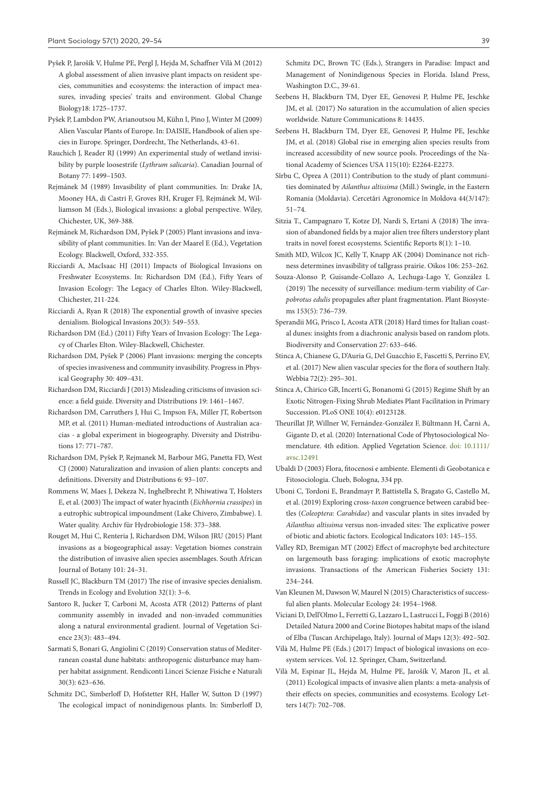- Pyšek P, Jarošík V, Hulme PE, Pergl J, Hejda M, Schaffner Vilà M (2012) A global assessment of alien invasive plant impacts on resident species, communities and ecosystems: the interaction of impact measures, invading species' traits and environment. Global Change Biology18: 1725–1737.
- Pyšek P, Lambdon PW, Arianoutsou M, Kühn I, Pino J, Winter M (2009) Alien Vascular Plants of Europe. In: DAISIE, Handbook of alien species in Europe. Springer, Dordrecht, The Netherlands, 43-61.
- Rauchich J, Reader RJ (1999) An experimental study of wetland invisibility by purple loosestrife (*Lythrum salicaria*). Canadian Journal of Botany 77: 1499–1503.
- Rejmánek M (1989) Invasibility of plant communities. In: Drake JA, Mooney HA, di Castri F, Groves RH, Kruger FJ, Rejmánek M, Williamson M (Eds.), Biological invasions: a global perspective. Wiley, Chichester, UK, 369-388.
- Rejmánek M, Richardson DM, Pyšek P (2005) Plant invasions and invasibility of plant communities. In: Van der Maarel E (Ed.), Vegetation Ecology. Blackwell, Oxford, 332-355.
- Ricciardi A, MacIsaac HJ (2011) Impacts of Biological Invasions on Freshwater Ecosystems. In: Richardson DM (Ed.), Fifty Years of Invasion Ecology: The Legacy of Charles Elton. Wiley-Blackwell, Chichester, 211-224.
- Ricciardi A, Ryan R (2018) The exponential growth of invasive species denialism. Biological Invasions 20(3): 549–553.
- Richardson DM (Ed.) (2011) Fifty Years of Invasion Ecology: The Legacy of Charles Elton. Wiley-Blackwell, Chichester.
- Richardson DM, Pyšek P (2006) Plant invasions: merging the concepts of species invasiveness and community invasibility. Progress in Physical Geography 30: 409–431.
- Richardson DM, Ricciardi J (2013) Misleading criticisms of invasion science: a field guide. Diversity and Distributions 19: 1461–1467.
- Richardson DM, Carruthers J, Hui C, Impson FA, Miller JT, Robertson MP, et al. (2011) Human-mediated introductions of Australian acacias - a global experiment in biogeography. Diversity and Distributions 17: 771–787.
- Richardson DM, Pyšek P, Rejmanek M, Barbour MG, Panetta FD, West CJ (2000) Naturalization and invasion of alien plants: concepts and definitions. Diversity and Distributions 6: 93–107.
- Rommens W, Maes J, Dekeza N, Inghelbrecht P, Nhiwatiwa T, Holsters E, et al. (2003) The impact of water hyacinth (*Eichhornia crassipes*) in a eutrophic subtropical impoundment (Lake Chivero, Zimbabwe). I. Water quality. Archiv für Hydrobiologie 158: 373–388.
- Rouget M, Hui C, Renteria J, Richardson DM, Wilson JRU (2015) Plant invasions as a biogeographical assay: Vegetation biomes constrain the distribution of invasive alien species assemblages. South African Journal of Botany 101: 24–31.
- Russell JC, Blackburn TM (2017) The rise of invasive species denialism. Trends in Ecology and Evolution 32(1): 3–6.
- Santoro R, Jucker T, Carboni M, Acosta ATR (2012) Patterns of plant community assembly in invaded and non-invaded communities along a natural environmental gradient. Journal of Vegetation Science 23(3): 483–494.
- Sarmati S, Bonari G, Angiolini C (2019) Conservation status of Mediterranean coastal dune habitats: anthropogenic disturbance may hamper habitat assignment. Rendiconti Lincei Scienze Fisiche e Naturali 30(3): 623–636.
- Schmitz DC, Simberloff D, Hofstetter RH, Haller W, Sutton D (1997) The ecological impact of nonindigenous plants. In: Simberloff D,

Schmitz DC, Brown TC (Eds.), Strangers in Paradise: Impact and Management of Nonindigenous Species in Florida. Island Press, Washington D.C., 39-61.

- Seebens H, Blackburn TM, Dyer EE, Genovesi P, Hulme PE, Jeschke JM, et al. (2017) No saturation in the accumulation of alien species worldwide. Nature Communications 8: 14435.
- Seebens H, Blackburn TM, Dyer EE, Genovesi P, Hulme PE, Jeschke JM, et al. (2018) Global rise in emerging alien species results from increased accessibility of new source pools. Proceedings of the National Academy of Sciences USA 115(10): E2264-E2273.
- Sîrbu C, Oprea A (2011) Contribution to the study of plant communities dominated by *Ailanthus altissima* (Mill.) Swingle, in the Eastern Romania (Moldavia). Cercetări Agronomice în Moldova 44(3/147): 51–74.
- Sitzia T., Campagnaro T, Kotze DJ, Nardi S, Ertani A (2018) The invasion of abandoned fields by a major alien tree filters understory plant traits in novel forest ecosystems. Scientific Reports 8(1): 1–10.
- Smith MD, Wilcox JC, Kelly T, Knapp AK (2004) Dominance not richness determines invasibility of tallgrass prairie. Oikos 106: 253–262.
- Souza-Alonso P, Guisande-Collazo A, Lechuga-Lago Y, González L (2019) The necessity of surveillance: medium-term viability of *Carpobrotus edulis* propagules after plant fragmentation. Plant Biosystems 153(5): 736–739.
- Sperandii MG, Prisco I, Acosta ATR (2018) Hard times for Italian coastal dunes: insights from a diachronic analysis based on random plots. Biodiversity and Conservation 27: 633–646.
- Stinca A, Chianese G, D'Auria G, Del Guacchio E, Fascetti S, Perrino EV, et al. (2017) New alien vascular species for the flora of southern Italy. Webbia 72(2): 295–301.
- Stinca A, Chirico GB, Incerti G, Bonanomi G (2015) Regime Shift by an Exotic Nitrogen-Fixing Shrub Mediates Plant Facilitation in Primary Succession. PLoS ONE 10(4): e0123128.
- Theurillat JP, Willner W, Fernández-González F, Bültmann H, Čarni A, Gigante D, et al. (2020) International Code of Phytosociological Nomenclature. 4th edition. Applied Vegetation Science. doi: 10.1111/ avsc.12491
- Ubaldi D (2003) Flora, fitocenosi e ambiente. Elementi di Geobotanica e Fitosociologia. Clueb, Bologna, 334 pp.
- Uboni C, Tordoni E, Brandmayr P, Battistella S, Bragato G, Castello M, et al. (2019) Exploring cross-*taxon* congruence between carabid beetles (*Coleoptera*: *Carabidae*) and vascular plants in sites invaded by *Ailanthus altissima* versus non-invaded sites: The explicative power of biotic and abiotic factors. Ecological Indicators 103: 145–155.
- Valley RD, Bremigan MT (2002) Effect of macrophyte bed architecture on largemouth bass foraging: implications of exotic macrophyte invasions. Transactions of the American Fisheries Society 131: 234–244.
- Van Kleunen M, Dawson W, Maurel N (2015) Characteristics of successful alien plants. Molecular Ecology 24: 1954–1968.
- Viciani D, Dell'Olmo L, Ferretti G, Lazzaro L, Lastrucci L, Foggi B (2016) Detailed Natura 2000 and Corine Biotopes habitat maps of the island of Elba (Tuscan Archipelago, Italy). Journal of Maps 12(3): 492–502.
- Vilà M, Hulme PE (Eds.) (2017) Impact of biological invasions on ecosystem services. Vol. 12. Springer, Cham, Switzerland.
- Vilà M, Espinar JL, Hejda M, Hulme PE, Jarošík V, Maron JL, et al. (2011) Ecological impacts of invasive alien plants: a meta-analysis of their effects on species, communities and ecosystems. Ecology Letters 14(7): 702–708.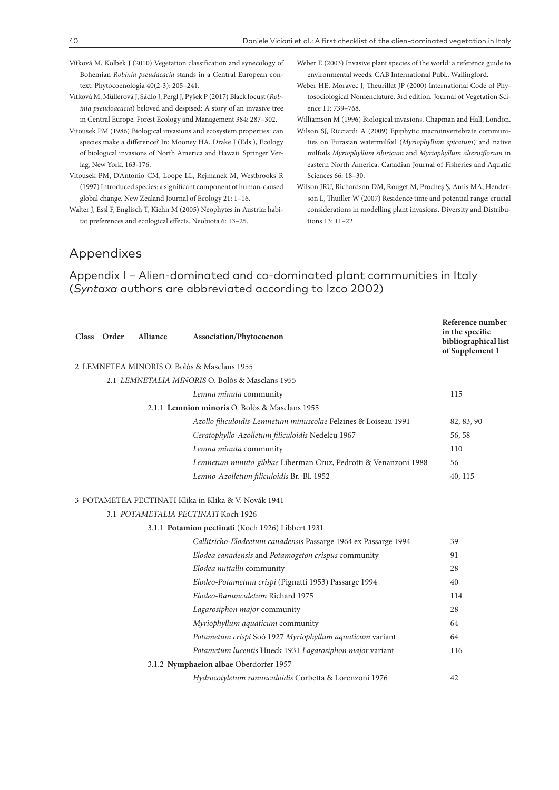- Vítková M, Kolbek J (2010) Vegetation classification and synecology of Bohemian *Robinia pseudacacia* stands in a Central European context. Phytocoenologia 40(2-3): 205–241.
- Vítková M, Müllerová J, Sádlo J, Pergl J, Pyšek P (2017) Black locust (*Robinia pseudoacacia*) beloved and despised: A story of an invasive tree in Central Europe. Forest Ecology and Management 384: 287–302.
- Vitousek PM (1986) Biological invasions and ecosystem properties: can species make a difference? In: Mooney HA, Drake J (Eds.), Ecology of biological invasions of North America and Hawaii. Springer Verlag, New York, 163-176.
- Vitousek PM, D'Antonio CM, Loope LL, Rejmanek M, Westbrooks R (1997) Introduced species: a significant component of human-caused global change. New Zealand Journal of Ecology 21: 1–16.
- Walter J, Essl F, Englisch T, Kiehn M (2005) Neophytes in Austria: habitat preferences and ecological effects. Neobiota 6: 13–25.
- Weber E (2003) Invasive plant species of the world: a reference guide to environmental weeds. CAB International Publ., Wallingford.
- Weber HE, Moravec J, Theurillat JP (2000) International Code of Phytosociological Nomenclature. 3rd edition. Journal of Vegetation Science 11: 739–768.

Williamson M (1996) Biological invasions. Chapman and Hall, London.

- Wilson SJ, Ricciardi A (2009) Epiphytic macroinvertebrate communities on Eurasian watermilfoil (*Myriophyllum spicatum*) and native milfoils *Myriophyllum sibiricum* and *Myriophyllum alterniflorum* in eastern North America. Canadian Journal of Fisheries and Aquatic Sciences 66: 18–30.
- Wilson JRU, Richardson DM, Rouget M, Procheş Ş, Amis MA, Henderson L, Thuiller W (2007) Residence time and potential range: crucial considerations in modelling plant invasions. Diversity and Distributions 13: 11–22.

### Appendixes

Appendix I – Alien-dominated and co-dominated plant communities in Italy (*Syntaxa* authors are abbreviated according to Izco 2002)

| <b>Class</b> | Order | <b>Alliance</b> | Association/Phytocoenon                                         | Reference number<br>in the specific<br>bibliographical list<br>of Supplement 1 |
|--------------|-------|-----------------|-----------------------------------------------------------------|--------------------------------------------------------------------------------|
|              |       |                 | 2 LEMNETEA MINORIS O. Bolòs & Masclans 1955                     |                                                                                |
|              |       |                 | 2.1 LEMNETALIA MINORIS O. Bolòs & Masclans 1955                 |                                                                                |
|              |       |                 | Lemna minuta community                                          | 115                                                                            |
|              |       |                 | 2.1.1 Lemnion minoris O. Bolòs & Masclans 1955                  |                                                                                |
|              |       |                 | Azollo filiculoidis-Lemnetum minuscolae Felzines & Loiseau 1991 | 82, 83, 90                                                                     |
|              |       |                 | Ceratophyllo-Azolletum filiculoidis Nedelcu 1967                | 56, 58                                                                         |
|              |       |                 | Lemna minuta community                                          | 110                                                                            |
|              |       |                 | Lemnetum minuto-gibbae Liberman Cruz, Pedrotti & Venanzoni 1988 | 56                                                                             |
|              |       |                 | Lemno-Azolletum filiculoidis Br.-Bl. 1952                       | 40, 115                                                                        |
|              |       |                 | 3 POTAMETEA PECTINATI Klika in Klika & V. Novák 1941            |                                                                                |
|              |       |                 | 3.1 POTAMETALIA PECTINATI Koch 1926                             |                                                                                |
|              |       |                 | 3.1.1 Potamion pectinati (Koch 1926) Libbert 1931               |                                                                                |
|              |       |                 | Callitricho-Elodeetum canadensis Passarge 1964 ex Passarge 1994 | 39                                                                             |
|              |       |                 | Elodea canadensis and Potamogeton crispus community             | 91                                                                             |
|              |       |                 | Elodea nuttallii community                                      | 28                                                                             |
|              |       |                 | Elodeo-Potametum crispi (Pignatti 1953) Passarge 1994           | 40                                                                             |
|              |       |                 | Elodeo-Ranunculetum Richard 1975                                | 114                                                                            |
|              |       |                 | Lagarosiphon major community                                    | 28                                                                             |
|              |       |                 | Myriophyllum aquaticum community                                | 64                                                                             |
|              |       |                 | Potametum crispi Soó 1927 Myriophyllum aquaticum variant        | 64                                                                             |
|              |       |                 | Potametum lucentis Hueck 1931 Lagarosiphon major variant        | 116                                                                            |
|              |       |                 | 3.1.2 Nymphaeion albae Oberdorfer 1957                          |                                                                                |
|              |       |                 | Hydrocotyletum ranunculoidis Corbetta & Lorenzoni 1976          | 42                                                                             |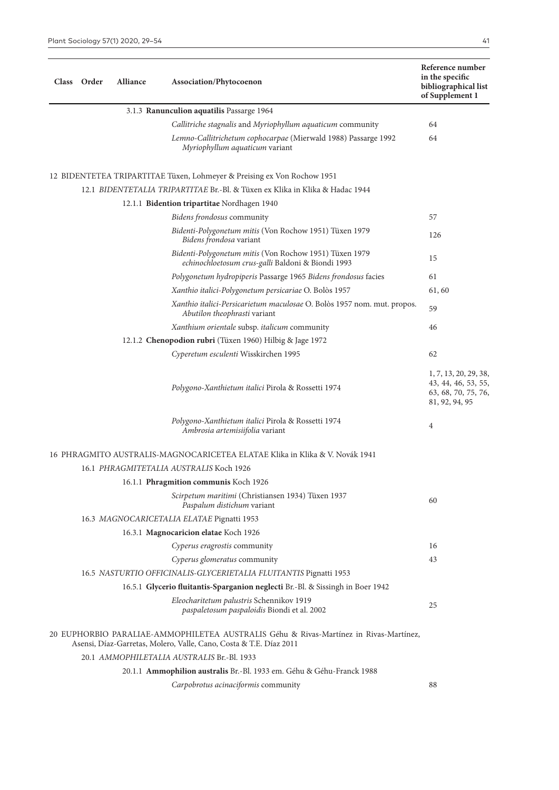| Class Order | Alliance | Association/Phytocoenon                                                                                                                                     | Reference number<br>in the specific<br>bibliographical list<br>of Supplement 1        |
|-------------|----------|-------------------------------------------------------------------------------------------------------------------------------------------------------------|---------------------------------------------------------------------------------------|
|             |          | 3.1.3 Ranunculion aquatilis Passarge 1964                                                                                                                   |                                                                                       |
|             |          | Callitriche stagnalis and Myriophyllum aquaticum community                                                                                                  | 64                                                                                    |
|             |          | Lemno-Callitrichetum cophocarpae (Mierwald 1988) Passarge 1992<br>Myriophyllum aquaticum variant                                                            | 64                                                                                    |
|             |          | 12 BIDENTETEA TRIPARTITAE Tüxen, Lohmeyer & Preising ex Von Rochow 1951                                                                                     |                                                                                       |
|             |          | 12.1 BIDENTETALIA TRIPARTITAE Br.-Bl. & Tüxen ex Klika in Klika & Hadac 1944                                                                                |                                                                                       |
|             |          | 12.1.1 Bidention tripartitae Nordhagen 1940                                                                                                                 |                                                                                       |
|             |          | Bidens frondosus community                                                                                                                                  | 57                                                                                    |
|             |          | Bidenti-Polygonetum mitis (Von Rochow 1951) Tüxen 1979<br>Bidens frondosa variant                                                                           | 126                                                                                   |
|             |          | Bidenti-Polygonetum mitis (Von Rochow 1951) Tüxen 1979<br>echinochloetosum crus-galli Baldoni & Biondi 1993                                                 | 15                                                                                    |
|             |          | Polygonetum hydropiperis Passarge 1965 Bidens frondosus facies                                                                                              | 61                                                                                    |
|             |          | Xanthio italici-Polygonetum persicariae O. Bolòs 1957                                                                                                       | 61,60                                                                                 |
|             |          | Xanthio italici-Persicarietum maculosae O. Bolòs 1957 nom. mut. propos.<br>Abutilon theophrasti variant                                                     | 59                                                                                    |
|             |          | Xanthium orientale subsp. italicum community                                                                                                                | 46                                                                                    |
|             |          | 12.1.2 Chenopodion rubri (Tüxen 1960) Hilbig & Jage 1972                                                                                                    |                                                                                       |
|             |          | Cyperetum esculenti Wisskirchen 1995                                                                                                                        | 62                                                                                    |
|             |          | Polygono-Xanthietum italici Pirola & Rossetti 1974                                                                                                          | 1, 7, 13, 20, 29, 38,<br>43, 44, 46, 53, 55,<br>63, 68, 70, 75, 76,<br>81, 92, 94, 95 |
|             |          | Polygono-Xanthietum italici Pirola & Rossetti 1974<br>Ambrosia artemisiifolia variant                                                                       | $\overline{4}$                                                                        |
|             |          | 16 PHRAGMITO AUSTRALIS-MAGNOCARICETEA ELATAE Klika in Klika & V. Novák 1941                                                                                 |                                                                                       |
|             |          | 16.1 PHRAGMITETALIA AUSTRALIS Koch 1926                                                                                                                     |                                                                                       |
|             |          | 16.1.1 Phragmition communis Koch 1926                                                                                                                       |                                                                                       |
|             |          | Scirpetum maritimi (Christiansen 1934) Tüxen 1937<br>Paspalum distichum variant                                                                             | 60                                                                                    |
|             |          | 16.3 MAGNOCARICETALIA ELATAE Pignatti 1953                                                                                                                  |                                                                                       |
|             |          | 16.3.1 Magnocaricion elatae Koch 1926                                                                                                                       |                                                                                       |
|             |          | Cyperus eragrostis community                                                                                                                                | 16                                                                                    |
|             |          | Cyperus glomeratus community                                                                                                                                | 43                                                                                    |
|             |          | 16.5 NASTURTIO OFFICINALIS-GLYCERIETALIA FLUITANTIS Pignatti 1953                                                                                           |                                                                                       |
|             |          | 16.5.1 Glycerio fluitantis-Sparganion neglecti Br.-Bl. & Sissingh in Boer 1942                                                                              |                                                                                       |
|             |          | Eleocharitetum palustris Schennikov 1919<br>paspaletosum paspaloidis Biondi et al. 2002                                                                     | 25                                                                                    |
|             |          | 20 EUPHORBIO PARALIAE-AMMOPHILETEA AUSTRALIS Géhu & Rivas-Martínez in Rivas-Martínez,<br>Asensi, Díaz-Garretas, Molero, Valle, Cano, Costa & T.E. Díaz 2011 |                                                                                       |
|             |          | 20.1 AMMOPHILETALIA AUSTRALIS Br.-Bl. 1933                                                                                                                  |                                                                                       |
|             |          | 20.1.1 Ammophilion australis Br.-Bl. 1933 em. Géhu & Géhu-Franck 1988                                                                                       |                                                                                       |
|             |          | Carpobrotus acinaciformis community                                                                                                                         | 88                                                                                    |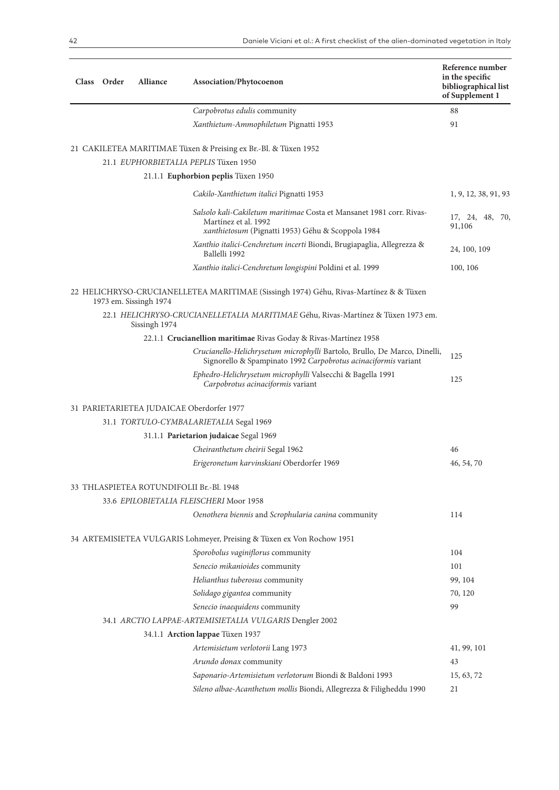| Class Order | <b>Alliance</b>        | Association/Phytocoenon                                                                                                                           | Reference number<br>in the specific<br>bibliographical list<br>of Supplement 1 |
|-------------|------------------------|---------------------------------------------------------------------------------------------------------------------------------------------------|--------------------------------------------------------------------------------|
|             |                        | Carpobrotus edulis community                                                                                                                      | 88                                                                             |
|             |                        | Xanthietum-Ammophiletum Pignatti 1953                                                                                                             | 91                                                                             |
|             |                        | 21 CAKILETEA MARITIMAE Tüxen & Preising ex Br.-Bl. & Tüxen 1952                                                                                   |                                                                                |
|             |                        | 21.1 EUPHORBIETALIA PEPLIS Tüxen 1950                                                                                                             |                                                                                |
|             |                        | 21.1.1 Euphorbion peplis Tüxen 1950                                                                                                               |                                                                                |
|             |                        | Cakilo-Xanthietum italici Pignatti 1953                                                                                                           | 1, 9, 12, 38, 91, 93                                                           |
|             |                        | Salsolo kali-Cakiletum maritimae Costa et Mansanet 1981 corr. Rivas-<br>Martínez et al. 1992<br>xanthietosum (Pignatti 1953) Géhu & Scoppola 1984 | 17, 24, 48, 70,<br>91,106                                                      |
|             |                        | Xanthio italici-Cenchretum incerti Biondi, Brugiapaglia, Allegrezza &<br>Ballelli 1992                                                            | 24, 100, 109                                                                   |
|             |                        | Xanthio italici-Cenchretum longispini Poldini et al. 1999                                                                                         | 100, 106                                                                       |
|             | 1973 em. Sissingh 1974 | 22 HELICHRYSO-CRUCIANELLETEA MARITIMAE (Sissingh 1974) Géhu, Rivas-Martínez & & Tüxen                                                             |                                                                                |
|             | Sissingh 1974          | 22.1 HELICHRYSO-CRUCIANELLETALIA MARITIMAE Géhu, Rivas-Martínez & Tüxen 1973 em.                                                                  |                                                                                |
|             |                        | 22.1.1 Crucianellion maritimae Rivas Goday & Rivas-Martínez 1958                                                                                  |                                                                                |
|             |                        | Crucianello-Helichrysetum microphylli Bartolo, Brullo, De Marco, Dinelli,<br>Signorello & Spampinato 1992 Carpobrotus acinaciformis variant       | 125                                                                            |
|             |                        | Ephedro-Helichrysetum microphylli Valsecchi & Bagella 1991<br>Carpobrotus acinaciformis variant                                                   | 125                                                                            |
|             |                        | 31 PARIETARIETEA JUDAICAE Oberdorfer 1977                                                                                                         |                                                                                |
|             |                        | 31.1 TORTULO-CYMBALARIETALIA Segal 1969                                                                                                           |                                                                                |
|             |                        | 31.1.1 Parietarion judaicae Segal 1969                                                                                                            |                                                                                |
|             |                        | Cheiranthetum cheirii Segal 1962                                                                                                                  | 46                                                                             |
|             |                        | Erigeronetum karvinskiani Oberdorfer 1969                                                                                                         | 46, 54, 70                                                                     |
|             |                        | 33 THLASPIETEA ROTUNDIFOLII Br.-Bl. 1948                                                                                                          |                                                                                |
|             |                        | 33.6 EPILOBIETALIA FLEISCHERI Moor 1958                                                                                                           |                                                                                |
|             |                        | Oenothera biennis and Scrophularia canina community                                                                                               | 114                                                                            |
|             |                        | 34 ARTEMISIETEA VULGARIS Lohmeyer, Preising & Tüxen ex Von Rochow 1951                                                                            |                                                                                |
|             |                        | Sporobolus vaginiflorus community                                                                                                                 | 104                                                                            |
|             |                        | Senecio mikanioides community                                                                                                                     | 101                                                                            |
|             |                        | Helianthus tuberosus community                                                                                                                    | 99, 104                                                                        |
|             |                        | Solidago gigantea community                                                                                                                       | 70, 120                                                                        |
|             |                        | Senecio inaequidens community                                                                                                                     | 99                                                                             |
|             |                        | 34.1 ARCTIO LAPPAE-ARTEMISIETALIA VULGARIS Dengler 2002                                                                                           |                                                                                |
|             |                        | 34.1.1 Arction lappae Tüxen 1937                                                                                                                  |                                                                                |
|             |                        | Artemisietum verlotorii Lang 1973                                                                                                                 | 41, 99, 101                                                                    |
|             |                        | Arundo donax community                                                                                                                            | 43                                                                             |
|             |                        | Saponario-Artemisietum verlotorum Biondi & Baldoni 1993                                                                                           | 15, 63, 72                                                                     |
|             |                        | Sileno albae-Acanthetum mollis Biondi, Allegrezza & Filigheddu 1990                                                                               | 21                                                                             |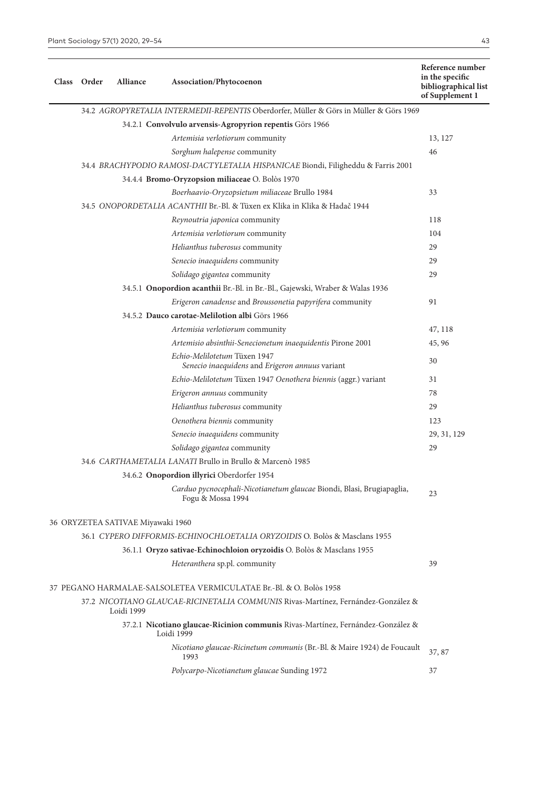**Class Order Alliance Association/Phytocoenon**

| Order | <b>Alliance</b> | Association/Phytocoenon                                                                | Reference number<br>in the specific<br>bibliographical list<br>of Supplement 1 |
|-------|-----------------|----------------------------------------------------------------------------------------|--------------------------------------------------------------------------------|
|       |                 | 34.2 AGROPYRETALIA INTERMEDII-REPENTIS Oberdorfer, Müller & Görs in Müller & Görs 1969 |                                                                                |
|       |                 | 34.2.1 Convolvulo arvensis-Agropyrion repentis Görs 1966                               |                                                                                |
|       |                 | Artemisia verlotiorum community                                                        | 13, 127                                                                        |
|       |                 | Sorghum halepense community                                                            | 46                                                                             |
|       |                 | 34.4 BRACHYPODIO RAMOSI-DACTYLETALIA HISPANICAE Biondi, Filigheddu & Farris 2001       |                                                                                |
|       |                 | 34.4.4 Bromo-Oryzopsion miliaceae O. Bolòs 1970                                        |                                                                                |
|       |                 | Boerhaavio-Oryzopsietum miliaceae Brullo 1984                                          | 33                                                                             |
|       |                 | 34.5 ONOPORDETALIA ACANTHII Br.-Bl. & Tüxen ex Klika in Klika & Hadač 1944             |                                                                                |
|       |                 | Reynoutria japonica community                                                          | 118                                                                            |
|       |                 | Artemisia verlotiorum community                                                        | 104                                                                            |
|       |                 | Helianthus tuberosus community                                                         | 29                                                                             |
|       |                 | Senecio inaequidens community                                                          | 29                                                                             |
|       |                 | Solidago gigantea community                                                            | 29                                                                             |
|       |                 | 34.5.1 Onopordion acanthii Br.-Bl. in Br.-Bl., Gajewski, Wraber & Walas 1936           |                                                                                |
|       |                 | Erigeron canadense and Broussonetia papyrifera community                               | 91                                                                             |
|       |                 | 34.5.2 Dauco carotae-Melilotion albi Görs 1966                                         |                                                                                |
|       |                 | Artemisia verlotiorum community                                                        | 47, 118                                                                        |
|       |                 | Artemisio absinthii-Senecionetum inaequidentis Pirone 2001                             | 45, 96                                                                         |
|       |                 | Echio-Melilotetum Tüxen 1947<br>Senecio inaequidens and Erigeron annuus variant        | 30                                                                             |
|       |                 | Echio-Melilotetum Tüxen 1947 Oenothera biennis (aggr.) variant                         | 31                                                                             |
|       |                 | Erigeron annuus community                                                              | 78                                                                             |
|       |                 | Helianthus tuberosus community                                                         | 29                                                                             |

*Oenothera biennis* community 123 *Senecio inaequidens* community 29, 31, 129

*Solidago gigantea* community 29

rtauo pychocephan-iviconanetum giaucae Bionui, biasi, brugiapaglia, 23<br>Fogu & Mossa 1994

*Heteranthera* sp.pl. community 39

*Nicotiano glaucae-Ricinetum communis* (Br.-Bl. & Maire 1924) de Foucault <sup>1993</sup> 37, 87 *Polycarpo-Nicotianetum glaucae* Sunding 1972 37

*Carduo pycnocephali-Nicotianetum glaucae* Biondi, Blasi, Brugiapaglia,

34.6 *CARTHAMETALIA LANATI* Brullo in Brullo & Marcenò 1985 34.6.2 **Onopordion illyrici** Oberdorfer 1954

37 PEGANO HARMALAE-SALSOLETEA VERMICULATAE Br.-Bl. & O. Bolòs 1958

Loidi 1999

36.1 *CYPERO DIFFORMIS-ECHINOCHLOETALIA ORYZOIDIS* O. Bolòs & Masclans 1955 36.1.1 **Oryzo sativae-Echinochloion oryzoidis** O. Bolòs & Masclans 1955

37.2 *NICOTIANO GLAUCAE-RICINETALIA COMMUNIS* Rivas-Martínez, Fernández-González &

37.2.1 **Nicotiano glaucae-Ricinion communis** Rivas-Martínez, Fernández-González &

36 ORYZETEA SATIVAE Miyawaki 1960

Loidi 1999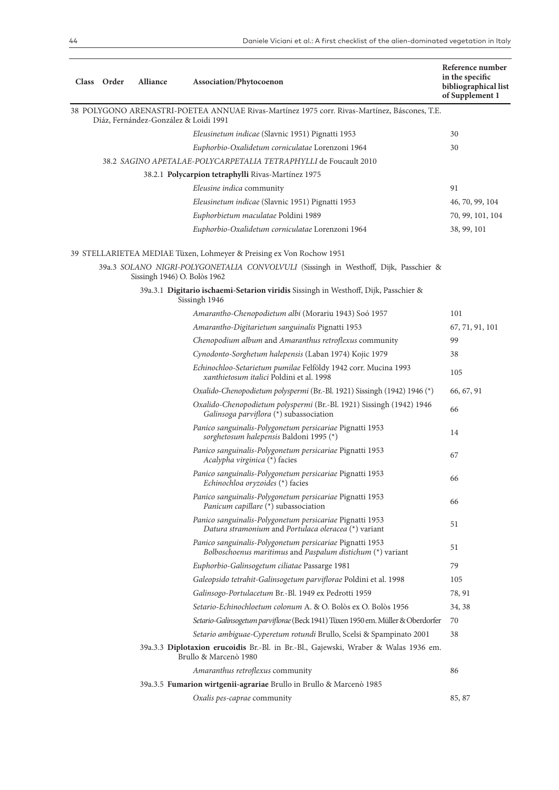| Class Order | Alliance                     | Association/Phytocoenon                                                                                                               | Reference number<br>in the specific<br>bibliographical list<br>of Supplement 1 |
|-------------|------------------------------|---------------------------------------------------------------------------------------------------------------------------------------|--------------------------------------------------------------------------------|
|             |                              | 38 POLYGONO ARENASTRI-POETEA ANNUAE Rivas-Martínez 1975 corr. Rivas-Martínez, Báscones, T.E.<br>Diáz, Fernández-González & Loidi 1991 |                                                                                |
|             |                              | Eleusinetum indicae (Slavnic 1951) Pignatti 1953                                                                                      | 30                                                                             |
|             |                              | Euphorbio-Oxalidetum corniculatae Lorenzoni 1964                                                                                      | 30                                                                             |
|             |                              | 38.2 SAGINO APETALAE-POLYCARPETALIA TETRAPHYLLI de Foucault 2010                                                                      |                                                                                |
|             |                              | 38.2.1 Polycarpion tetraphylli Rivas-Martínez 1975                                                                                    |                                                                                |
|             |                              | Eleusine indica community                                                                                                             | 91                                                                             |
|             |                              | Eleusinetum indicae (Slavnic 1951) Pignatti 1953                                                                                      | 46, 70, 99, 104                                                                |
|             |                              | Euphorbietum maculatae Poldini 1989                                                                                                   | 70, 99, 101, 104                                                               |
|             |                              | Euphorbio-Oxalidetum corniculatae Lorenzoni 1964                                                                                      | 38, 99, 101                                                                    |
|             |                              | 39 STELLARIETEA MEDIAE Tüxen, Lohmeyer & Preising ex Von Rochow 1951                                                                  |                                                                                |
|             | Sissingh 1946) O. Bolòs 1962 | 39a.3 SOLANO NIGRI-POLYGONETALIA CONVOLVULI (Sissingh in Westhoff, Dijk, Passchier &                                                  |                                                                                |
|             |                              | 39a.3.1 Digitario ischaemi-Setarion viridis Sissingh in Westhoff, Dijk, Passchier &<br>Sissingh 1946                                  |                                                                                |
|             |                              | Amarantho-Chenopodietum albi (Morariu 1943) Soó 1957                                                                                  | 101                                                                            |
|             |                              | Amarantho-Digitarietum sanguinalis Pignatti 1953                                                                                      | 67, 71, 91, 101                                                                |
|             |                              | Chenopodium album and Amaranthus retroflexus community                                                                                | 99                                                                             |
|             |                              | Cynodonto-Sorghetum halepensis (Laban 1974) Kojic 1979                                                                                | 38                                                                             |
|             |                              | Echinochloo-Setarietum pumilae Felföldy 1942 corr. Mucina 1993<br>xanthietosum italici Poldini et al. 1998                            | 105                                                                            |
|             |                              | Oxalido-Chenopodietum polyspermi (Br.-Bl. 1921) Sissingh (1942) 1946 (*)                                                              | 66, 67, 91                                                                     |
|             |                              | Oxalido-Chenopodietum polyspermi (Br.-Bl. 1921) Sissingh (1942) 1946<br>Galinsoga parviflora (*) subassociation                       | 66                                                                             |
|             |                              | Panico sanguinalis-Polygonetum persicariae Pignatti 1953<br>sorghetosum halepensis Baldoni 1995 (*)                                   | 14                                                                             |
|             |                              | Panico sanguinalis-Polygonetum persicariae Pignatti 1953<br>Acalypha virginica (*) facies                                             | 67                                                                             |
|             |                              | Panico sanguinalis-Polygonetum persicariae Pignatti 1953<br>Echinochloa oryzoides (*) facies                                          | 66                                                                             |
|             |                              | Panico sanguinalis-Polygonetum persicariae Pignatti 1953<br>Panicum capillare (*) subassociation                                      | 66                                                                             |
|             |                              | Panico sanguinalis-Polygonetum persicariae Pignatti 1953<br>Datura stramonium and Portulaca oleracea (*) variant                      | 51                                                                             |
|             |                              | Panico sanguinalis-Polygonetum persicariae Pignatti 1953<br>Bolboschoenus maritimus and Paspalum distichum $(*)$ variant              | 51                                                                             |
|             |                              | Euphorbio-Galinsogetum ciliatae Passarge 1981                                                                                         | 79                                                                             |
|             |                              | Galeopsido tetrahit-Galinsogetum parviflorae Poldini et al. 1998                                                                      | 105                                                                            |
|             |                              | Galinsogo-Portulacetum Br.-Bl. 1949 ex Pedrotti 1959                                                                                  | 78, 91                                                                         |
|             |                              | Setario-Echinochloetum colonum A. & O. Bolòs ex O. Bolòs 1956                                                                         | 34, 38                                                                         |
|             |                              | Setario-Galinsogetum parviflorae (Beck 1941) Tüxen 1950 em. Müller & Oberdorfer                                                       | 70                                                                             |
|             |                              | Setario ambiguae-Cyperetum rotundi Brullo, Scelsi & Spampinato 2001                                                                   | 38                                                                             |
|             |                              | 39a.3.3 Diplotaxion erucoidis Br.-Bl. in Br.-Bl., Gajewski, Wraber & Walas 1936 em.<br>Brullo & Marcenò 1980                          |                                                                                |
|             |                              | Amaranthus retroflexus community                                                                                                      | 86                                                                             |
|             |                              | 39a.3.5 Fumarion wirtgenii-agrariae Brullo in Brullo & Marcenò 1985                                                                   |                                                                                |
|             |                              | Oxalis pes-caprae community                                                                                                           | 85, 87                                                                         |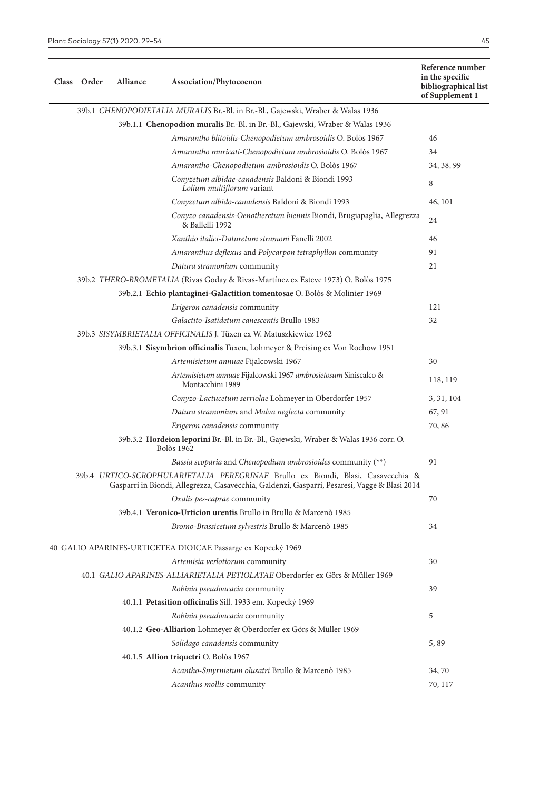**Class Order Alliance Association/Phytocoenon**

# 39b.1 *CHENOPODIETALIA MURALIS* Br.-Bl. in Br.-Bl., Gajewski, Wraber & Walas 1936

| 390. I CHENOPODIETALIA MURALIS Br.-Bl. in Br.-Bl., Gajewski, Wraber & Walas 1936                                                                                                  |            |
|-----------------------------------------------------------------------------------------------------------------------------------------------------------------------------------|------------|
| 39b.1.1 Chenopodion muralis Br.-Bl. in Br.-Bl., Gajewski, Wraber & Walas 1936                                                                                                     |            |
| Amarantho blitoidis-Chenopodietum ambrosoidis O. Bolòs 1967                                                                                                                       | 46         |
| Amarantho muricati-Chenopodietum ambrosioidis O. Bolòs 1967                                                                                                                       | 34         |
| Amarantho-Chenopodietum ambrosioidis O. Bolòs 1967                                                                                                                                | 34, 38, 99 |
| Conyzetum albidae-canadensis Baldoni & Biondi 1993<br>Lolium multiflorum variant                                                                                                  | $\,8\,$    |
| Conyzetum albido-canadensis Baldoni & Biondi 1993                                                                                                                                 | 46, 101    |
| Conyzo canadensis-Oenotheretum biennis Biondi, Brugiapaglia, Allegrezza<br>& Ballelli 1992                                                                                        | 24         |
| Xanthio italici-Daturetum stramoni Fanelli 2002                                                                                                                                   | 46         |
| Amaranthus deflexus and Polycarpon tetraphyllon community                                                                                                                         | 91         |
| Datura stramonium community                                                                                                                                                       | 21         |
| 39b.2 THERO-BROMETALIA (Rivas Goday & Rivas-Martínez ex Esteve 1973) O. Bolòs 1975                                                                                                |            |
| 39b.2.1 Echio plantaginei-Galactition tomentosae O. Bolòs & Molinier 1969                                                                                                         |            |
| Erigeron canadensis community                                                                                                                                                     | 121        |
| Galactito-Isatidetum canescentis Brullo 1983                                                                                                                                      | 32         |
| 39b.3 SISYMBRIETALIA OFFICINALIS J. Tüxen ex W. Matuszkiewicz 1962                                                                                                                |            |
| 39b.3.1 Sisymbrion officinalis Tüxen, Lohmeyer & Preising ex Von Rochow 1951                                                                                                      |            |
| Artemisietum annuae Fijalcowski 1967                                                                                                                                              | 30         |
| Artemisietum annuae Fijalcowski 1967 ambrosietosum Siniscalco &<br>Montacchini 1989                                                                                               | 118, 119   |
| Conyzo-Lactucetum serriolae Lohmeyer in Oberdorfer 1957                                                                                                                           | 3, 31, 104 |
| Datura stramonium and Malva neglecta community                                                                                                                                    | 67, 91     |
| Erigeron canadensis community                                                                                                                                                     | 70,86      |
| 39b.3.2 Hordeion leporini Br.-Bl. in Br.-Bl., Gajewski, Wraber & Walas 1936 corr. O.<br><b>Bolòs</b> 1962                                                                         |            |
| Bassia scoparia and Chenopodium ambrosioides community (**)                                                                                                                       | 91         |
| 39b.4 URTICO-SCROPHULARIETALIA PEREGRINAE Brullo ex Biondi, Blasi, Casavecchia &<br>Gasparri in Biondi, Allegrezza, Casavecchia, Galdenzi, Gasparri, Pesaresi, Vagge & Blasi 2014 |            |
| Oxalis pes-caprae community                                                                                                                                                       | 70         |
| 39b.4.1 Veronico-Urticion urentis Brullo in Brullo & Marcenò 1985                                                                                                                 |            |
| Bromo-Brassicetum sylvestris Brullo & Marcenò 1985                                                                                                                                | 34         |
| 40 GALIO APARINES-URTICETEA DIOICAE Passarge ex Kopecký 1969                                                                                                                      |            |
| Artemisia verlotiorum community                                                                                                                                                   | 30         |
| 40.1 GALIO APARINES-ALLIARIETALIA PETIOLATAE Oberdorfer ex Görs & Müller 1969                                                                                                     |            |
| Robinia pseudoacacia community                                                                                                                                                    | 39         |
| 40.1.1 Petasition officinalis Sill. 1933 em. Kopecký 1969                                                                                                                         |            |
| Robinia pseudoacacia community                                                                                                                                                    | 5          |
| 40.1.2 Geo-Alliarion Lohmeyer & Oberdorfer ex Görs & Müller 1969                                                                                                                  |            |
| Solidago canadensis community                                                                                                                                                     | 5,89       |
| 40.1.5 Allion triquetri O. Bolòs 1967                                                                                                                                             |            |
| Acantho-Smyrnietum olusatri Brullo & Marcenò 1985                                                                                                                                 | 34,70      |
| Acanthus mollis community                                                                                                                                                         | 70, 117    |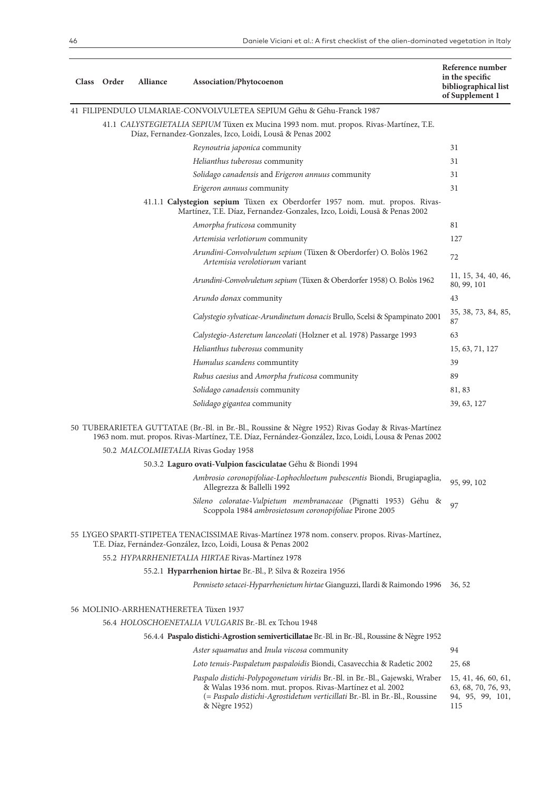| Class Order | Alliance | Association/Phytocoenon                                                                                                                                                                                                                 | Reference number<br>in the specific<br>bibliographical list<br>of Supplement 1 |
|-------------|----------|-----------------------------------------------------------------------------------------------------------------------------------------------------------------------------------------------------------------------------------------|--------------------------------------------------------------------------------|
|             |          | 41 FILIPENDULO ULMARIAE-CONVOLVULETEA SEPIUM Géhu & Géhu-Franck 1987                                                                                                                                                                    |                                                                                |
|             |          | 41.1 CALYSTEGIETALIA SEPIUM Tüxen ex Mucina 1993 nom. mut. propos. Rivas-Martínez, T.E.<br>Díaz, Fernandez-Gonzales, Izco, Loidi, Lousã & Penas 2002                                                                                    |                                                                                |
|             |          | Reynoutria japonica community                                                                                                                                                                                                           | 31                                                                             |
|             |          | Helianthus tuberosus community                                                                                                                                                                                                          | 31                                                                             |
|             |          | Solidago canadensis and Erigeron annuus community                                                                                                                                                                                       | 31                                                                             |
|             |          | Erigeron annuus community                                                                                                                                                                                                               | 31                                                                             |
|             |          | 41.1.1 Calystegion sepium Tüxen ex Oberdorfer 1957 nom. mut. propos. Rivas-<br>Martínez, T.E. Díaz, Fernandez-Gonzales, Izco, Loidi, Lousã & Penas 2002                                                                                 |                                                                                |
|             |          | Amorpha fruticosa community                                                                                                                                                                                                             | 81                                                                             |
|             |          | Artemisia verlotiorum community                                                                                                                                                                                                         | 127                                                                            |
|             |          | Arundini-Convolvuletum sepium (Tüxen & Oberdorfer) O. Bolòs 1962<br>Artemisia verolotiorum variant                                                                                                                                      | 72                                                                             |
|             |          | Arundini-Convolvuletum sepium (Tüxen & Oberdorfer 1958) O. Bolòs 1962                                                                                                                                                                   | 11, 15, 34, 40, 46,<br>80, 99, 101                                             |
|             |          | Arundo donax community                                                                                                                                                                                                                  | 43                                                                             |
|             |          | Calystegio sylvaticae-Arundinetum donacis Brullo, Scelsi & Spampinato 2001                                                                                                                                                              | 35, 38, 73, 84, 85,<br>87                                                      |
|             |          | Calystegio-Asteretum lanceolati (Holzner et al. 1978) Passarge 1993                                                                                                                                                                     | 63                                                                             |
|             |          | Helianthus tuberosus community                                                                                                                                                                                                          | 15, 63, 71, 127                                                                |
|             |          | Humulus scandens communtity                                                                                                                                                                                                             | 39                                                                             |
|             |          | Rubus caesius and Amorpha fruticosa community                                                                                                                                                                                           | 89                                                                             |
|             |          | Solidago canadensis community                                                                                                                                                                                                           | 81, 83                                                                         |
|             |          | Solidago gigantea community                                                                                                                                                                                                             | 39, 63, 127                                                                    |
|             |          | 50 TUBERARIETEA GUTTATAE (Br.-Bl. in Br.-Bl., Roussine & Nègre 1952) Rivas Goday & Rivas-Martínez<br>1963 nom. mut. propos. Rivas-Martínez, T.E. Díaz, Fernández-González, Izco, Loidi, Lousa & Penas 2002                              |                                                                                |
|             |          | 50.2 MALCOLMIETALIA Rivas Goday 1958                                                                                                                                                                                                    |                                                                                |
|             |          | 50.3.2 Laguro ovati-Vulpion fasciculatae Géhu & Biondi 1994                                                                                                                                                                             |                                                                                |
|             |          | Ambrosio coronopifoliae-Lophochloetum pubescentis Biondi, Brugiapaglia,<br>Allegrezza & Ballelli 1992                                                                                                                                   | 95, 99, 102                                                                    |
|             |          | Sileno coloratae-Vulpietum membranaceae (Pignatti 1953) Géhu &<br>Scoppola 1984 ambrosietosum coronopifoliae Pirone 2005                                                                                                                | 97                                                                             |
|             |          | 55 LYGEO SPARTI-STIPETEA TENACISSIMAE Rivas-Martínez 1978 nom. conserv. propos. Rivas-Martínez,<br>T.E. Díaz, Fernández-González, Izco, Loidi, Lousa & Penas 2002                                                                       |                                                                                |
|             |          | 55.2 HYPARRHENIETALIA HIRTAE Rivas-Martínez 1978                                                                                                                                                                                        |                                                                                |
|             |          | 55.2.1 Hyparrhenion hirtae Br.-Bl., P. Silva & Rozeira 1956                                                                                                                                                                             |                                                                                |
|             |          | Penniseto setacei-Hyparrhenietum hirtae Gianguzzi, Ilardi & Raimondo 1996                                                                                                                                                               | 36, 52                                                                         |
|             |          | 56 MOLINIO-ARRHENATHERETEA Tüxen 1937                                                                                                                                                                                                   |                                                                                |
|             |          | 56.4 HOLOSCHOENETALIA VULGARIS Br.-Bl. ex Tchou 1948                                                                                                                                                                                    |                                                                                |
|             |          | 56.4.4 Paspalo distichi-Agrostion semiverticillatae Br.-Bl. in Br.-Bl., Roussine & Nègre 1952                                                                                                                                           |                                                                                |
|             |          | Aster squamatus and Inula viscosa community                                                                                                                                                                                             | 94                                                                             |
|             |          | Loto tenuis-Paspaletum paspaloidis Biondi, Casavecchia & Radetic 2002                                                                                                                                                                   | 25,68                                                                          |
|             |          | Paspalo distichi-Polypogonetum viridis Br.-Bl. in Br.-Bl., Gajewski, Wraber<br>& Walas 1936 nom. mut. propos. Rivas-Martínez et al. 2002<br>(= Paspalo distichi-Agrostidetum verticillati Br.-Bl. in Br.-Bl., Roussine<br>& Nègre 1952) | 15, 41, 46, 60, 61,<br>63, 68, 70, 76, 93,<br>94, 95, 99, 101,<br>115          |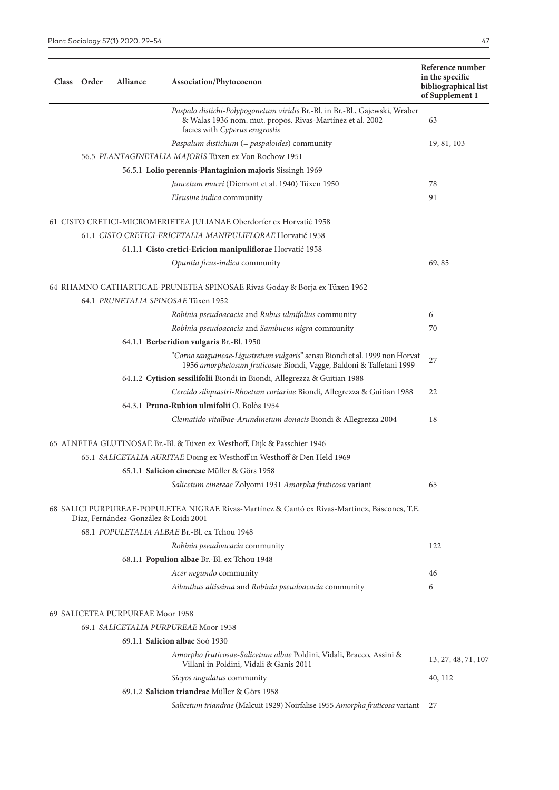| Class Order | <b>Alliance</b>                  | Association/Phytocoenon                                                                                                                                                    | Reference number<br>in the specific<br>bibliographical list<br>of Supplement 1 |
|-------------|----------------------------------|----------------------------------------------------------------------------------------------------------------------------------------------------------------------------|--------------------------------------------------------------------------------|
|             |                                  | Paspalo distichi-Polypogonetum viridis Br.-Bl. in Br.-Bl., Gajewski, Wraber<br>& Walas 1936 nom. mut. propos. Rivas-Martínez et al. 2002<br>facies with Cyperus eragrostis | 63                                                                             |
|             |                                  | Paspalum distichum (= paspaloides) community                                                                                                                               | 19, 81, 103                                                                    |
|             |                                  | 56.5 PLANTAGINETALIA MAJORIS Tüxen ex Von Rochow 1951                                                                                                                      |                                                                                |
|             |                                  | 56.5.1 Lolio perennis-Plantaginion majoris Sissingh 1969                                                                                                                   |                                                                                |
|             |                                  | Juncetum macri (Diemont et al. 1940) Tüxen 1950                                                                                                                            | 78                                                                             |
|             |                                  | Eleusine indica community                                                                                                                                                  | 91                                                                             |
|             |                                  | 61 CISTO CRETICI-MICROMERIETEA JULIANAE Oberdorfer ex Horvatić 1958                                                                                                        |                                                                                |
|             |                                  | 61.1 CISTO CRETICI-ERICETALIA MANIPULIFLORAE Horvatić 1958                                                                                                                 |                                                                                |
|             |                                  | 61.1.1 Cisto cretici-Ericion manipuliflorae Horvatić 1958                                                                                                                  |                                                                                |
|             |                                  | Opuntia ficus-indica community                                                                                                                                             | 69,85                                                                          |
|             |                                  | 64 RHAMNO CATHARTICAE-PRUNETEA SPINOSAE Rivas Goday & Borja ex Tüxen 1962<br>64.1 PRUNETALIA SPINOSAE Tüxen 1952                                                           |                                                                                |
|             |                                  | Robinia pseudoacacia and Rubus ulmifolius community                                                                                                                        | 6                                                                              |
|             |                                  | Robinia pseudoacacia and Sambucus nigra community                                                                                                                          | 70                                                                             |
|             |                                  | 64.1.1 Berberidion vulgaris Br.-Bl. 1950                                                                                                                                   |                                                                                |
|             |                                  | "Corno sanguineae-Ligustretum vulgaris" sensu Biondi et al. 1999 non Horvat<br>1956 amorphetosum fruticosae Biondi, Vagge, Baldoni & Taffetani 1999                        | 27                                                                             |
|             |                                  | 64.1.2 Cytision sessilifolii Biondi in Biondi, Allegrezza & Guitian 1988                                                                                                   |                                                                                |
|             |                                  | Cercido siliquastri-Rhoetum coriariae Biondi, Allegrezza & Guitian 1988                                                                                                    | 22                                                                             |
|             |                                  | 64.3.1 Pruno-Rubion ulmifolii O. Bolòs 1954                                                                                                                                |                                                                                |
|             |                                  | Clematido vitalbae-Arundinetum donacis Biondi & Allegrezza 2004                                                                                                            | 18                                                                             |
|             |                                  | 65 ALNETEA GLUTINOSAE Br.-Bl. & Tüxen ex Westhoff, Dijk & Passchier 1946                                                                                                   |                                                                                |
|             |                                  | 65.1 SALICETALIA AURITAE Doing ex Westhoff in Westhoff & Den Held 1969                                                                                                     |                                                                                |
|             |                                  | 65.1.1 Salicion cinereae Müller & Görs 1958                                                                                                                                |                                                                                |
|             |                                  | Salicetum cinereae Zolyomi 1931 Amorpha fruticosa variant                                                                                                                  | 65                                                                             |
|             |                                  | 68 SALICI PURPUREAE-POPULETEA NIGRAE Rivas-Martínez & Cantó ex Rivas-Martínez, Báscones, T.E.<br>Díaz, Fernández-González & Loidi 2001                                     |                                                                                |
|             |                                  | 68.1 POPULETALIA ALBAE Br.-Bl. ex Tchou 1948                                                                                                                               |                                                                                |
|             |                                  | Robinia pseudoacacia community                                                                                                                                             | 122                                                                            |
|             |                                  | 68.1.1 Populion albae Br.-Bl. ex Tchou 1948                                                                                                                                |                                                                                |
|             |                                  | Acer negundo community                                                                                                                                                     | 46                                                                             |
|             |                                  | Ailanthus altissima and Robinia pseudoacacia community                                                                                                                     | 6                                                                              |
|             | 69 SALICETEA PURPUREAE Moor 1958 |                                                                                                                                                                            |                                                                                |
|             |                                  | 69.1 SALICETALIA PURPUREAE Moor 1958                                                                                                                                       |                                                                                |
|             |                                  | 69.1.1 Salicion albae Soó 1930                                                                                                                                             |                                                                                |
|             |                                  | Amorpho fruticosae-Salicetum albae Poldini, Vidali, Bracco, Assini &<br>Villani in Poldini, Vidali & Ganis 2011                                                            | 13, 27, 48, 71, 107                                                            |
|             |                                  | Sicyos angulatus community                                                                                                                                                 | 40, 112                                                                        |
|             |                                  | 69.1.2 Salicion triandrae Müller & Görs 1958                                                                                                                               |                                                                                |
|             |                                  | Salicetum triandrae (Malcuit 1929) Noirfalise 1955 Amorpha fruticosa variant                                                                                               | 27                                                                             |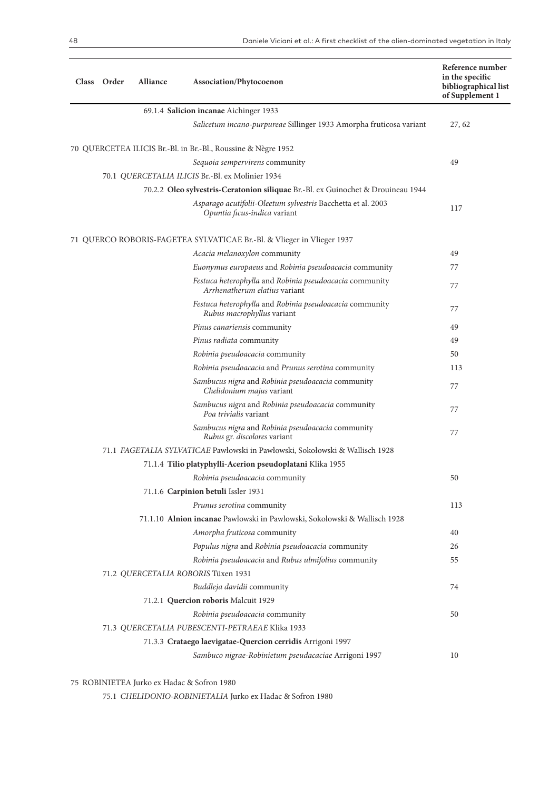| Class Order | Alliance | Association/Phytocoenon                                                                      | Reference number<br>in the specific<br>bibliographical list<br>of Supplement 1 |
|-------------|----------|----------------------------------------------------------------------------------------------|--------------------------------------------------------------------------------|
|             |          | 69.1.4 Salicion incanae Aichinger 1933                                                       |                                                                                |
|             |          | Salicetum incano-purpureae Sillinger 1933 Amorpha fruticosa variant                          | 27, 62                                                                         |
|             |          | 70 QUERCETEA ILICIS Br.-Bl. in Br.-Bl., Roussine & Nègre 1952                                |                                                                                |
|             |          | Sequoia sempervirens community                                                               | 49                                                                             |
|             |          | 70.1 QUERCETALIA ILICIS Br.-Bl. ex Molinier 1934                                             |                                                                                |
|             |          | 70.2.2 Oleo sylvestris-Ceratonion siliquae Br.-Bl. ex Guinochet & Drouineau 1944             |                                                                                |
|             |          | Asparago acutifolii-Oleetum sylvestris Bacchetta et al. 2003<br>Opuntia ficus-indica variant | 117                                                                            |
|             |          | 71 QUERCO ROBORIS-FAGETEA SYLVATICAE Br.-Bl. & Vlieger in Vlieger 1937                       |                                                                                |
|             |          | Acacia melanoxylon community                                                                 | 49                                                                             |
|             |          | Euonymus europaeus and Robinia pseudoacacia community                                        | 77                                                                             |
|             |          | Festuca heterophylla and Robinia pseudoacacia community<br>Arrhenatherum elatius variant     | 77                                                                             |
|             |          | Festuca heterophylla and Robinia pseudoacacia community<br>Rubus macrophyllus variant        | 77                                                                             |
|             |          | Pinus canariensis community                                                                  | 49                                                                             |
|             |          | Pinus radiata community                                                                      | 49                                                                             |
|             |          | Robinia pseudoacacia community                                                               | 50                                                                             |
|             |          | Robinia pseudoacacia and Prunus serotina community                                           | 113                                                                            |
|             |          | Sambucus nigra and Robinia pseudoacacia community<br>Chelidonium majus variant               | 77                                                                             |
|             |          | Sambucus nigra and Robinia pseudoacacia community<br>Poa trivialis variant                   | 77                                                                             |
|             |          | Sambucus nigra and Robinia pseudoacacia community<br>Rubus gr. discolores variant            | 77                                                                             |
|             |          | 71.1 FAGETALIA SYLVATICAE Pawłowski in Pawłowski, Sokołowski & Wallisch 1928                 |                                                                                |
|             |          | 71.1.4 Tilio platyphylli-Acerion pseudoplatani Klika 1955                                    |                                                                                |
|             |          | Robinia pseudoacacia community                                                               | 50                                                                             |
|             |          | 71.1.6 Carpinion betuli Issler 1931                                                          |                                                                                |
|             |          | Prunus serotina community                                                                    | 113                                                                            |
|             |          | 71.1.10 Alnion incanae Pawlowski in Pawlowski, Sokolowski & Wallisch 1928                    |                                                                                |
|             |          | Amorpha fruticosa community                                                                  | 40                                                                             |
|             |          | Populus nigra and Robinia pseudoacacia community                                             | 26                                                                             |
|             |          | Robinia pseudoacacia and Rubus ulmifolius community                                          | 55                                                                             |
|             |          | 71.2 QUERCETALIA ROBORIS Tüxen 1931                                                          |                                                                                |
|             |          | Buddleja davidii community                                                                   | 74                                                                             |
|             |          | 71.2.1 Quercion roboris Malcuit 1929                                                         |                                                                                |
|             |          | Robinia pseudoacacia community                                                               | 50                                                                             |
|             |          | 71.3 QUERCETALIA PUBESCENTI-PETRAEAE Klika 1933                                              |                                                                                |
|             |          | 71.3.3 Crataego laevigatae-Quercion cerridis Arrigoni 1997                                   |                                                                                |
|             |          | Sambuco nigrae-Robinietum pseudacaciae Arrigoni 1997                                         | 10                                                                             |

75 ROBINIETEA Jurko ex Hadac & Sofron 1980

75.1 *CHELIDONIO-ROBINIETALIA* Jurko ex Hadac & Sofron 1980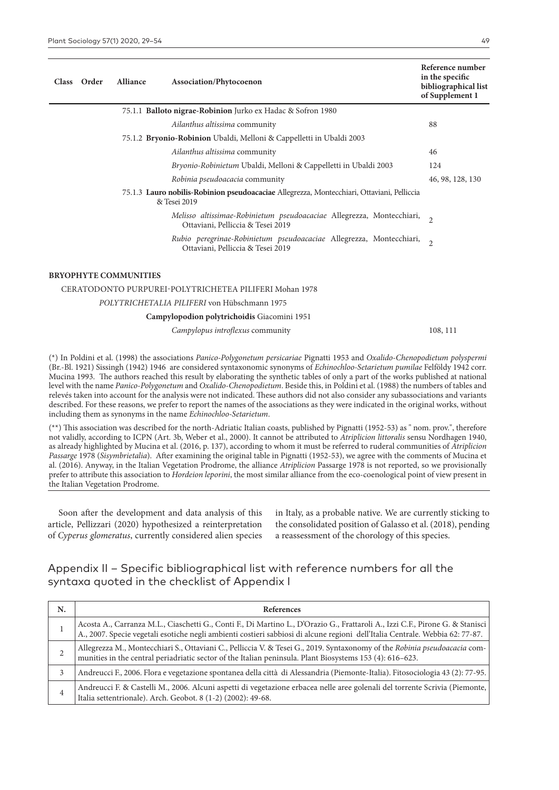| Class | Order | <b>Alliance</b> | <b>Association/Phytocoenon</b>                                                                             | Reference number<br>in the specific<br>bibliographical list<br>of Supplement 1 |
|-------|-------|-----------------|------------------------------------------------------------------------------------------------------------|--------------------------------------------------------------------------------|
|       |       |                 | 75.1.1 Balloto nigrae-Robinion Jurko ex Hadac & Sofron 1980                                                |                                                                                |
|       |       |                 | Ailanthus altissima community                                                                              | 88                                                                             |
|       |       |                 | 75.1.2 <b>Bryonio-Robinion</b> Ubaldi, Melloni & Cappelletti in Ubaldi 2003                                |                                                                                |
|       |       |                 | Ailanthus altissima community                                                                              | 46                                                                             |
|       |       |                 | <i>Bryonio-Robinietum</i> Ubaldi, Melloni & Cappelletti in Ubaldi 2003                                     | 124                                                                            |
|       |       |                 | Robinia pseudoacacia community                                                                             | 46, 98, 128, 130                                                               |
|       |       |                 | 75.1.3 Lauro nobilis-Robinion pseudoacaciae Allegrezza, Montecchiari, Ottaviani, Pelliccia<br>& Tesei 2019 |                                                                                |
|       |       |                 | Melisso altissimae-Robinietum pseudoacaciae Allegrezza, Montecchiari,<br>Ottaviani, Pelliccia & Tesei 2019 | $\overline{2}$                                                                 |
|       |       |                 | Rubio peregrinae-Robinietum pseudoacaciae Allegrezza, Montecchiari,<br>Ottaviani, Pelliccia & Tesei 2019   | $\overline{2}$                                                                 |
|       |       |                 |                                                                                                            |                                                                                |

#### **BRYOPHYTE COMMUNITIES**

### CERATODONTO PURPUREI-POLYTRICHETEA PILIFERI Mohan 1978 *POLYTRICHETALIA PILIFERI* von Hübschmann 1975

#### **Campylopodion polytrichoidis** Giacomini 1951

*Campylopus introflexus* community 108, 111

(\*) In Poldini et al. (1998) the associations *Panico-Polygonetum persicariae* Pignatti 1953 and *Oxalido-Chenopodietum polyspermi* (Br.-Bl. 1921) Sissingh (1942) 1946 are considered syntaxonomic synonyms of *Echinochloo-Setarietum pumilae* Felföldy 1942 corr. Mucina 1993. The authors reached this result by elaborating the synthetic tables of only a part of the works published at national level with the name *Panico-Polygonetum* and *Oxalido-Chenopodietum*. Beside this, in Poldini et al. (1988) the numbers of tables and relevés taken into account for the analysis were not indicated. These authors did not also consider any subassociations and variants described. For these reasons, we prefer to report the names of the associations as they were indicated in the original works, without including them as synonyms in the name *Echinochloo-Setarietum*.

(\*\*) This association was described for the north-Adriatic Italian coasts, published by Pignatti (1952-53) as " nom. prov.", therefore not validly, according to ICPN (Art. 3b, Weber et al., 2000). It cannot be attributed to *Atriplicion littoralis* sensu Nordhagen 1940, as already highlighted by Mucina et al. (2016, p. 137), according to whom it must be referred to ruderal communities of *Atriplicion Passarge* 1978 (*Sisymbrietalia*). After examining the original table in Pignatti (1952-53), we agree with the comments of Mucina et al. (2016). Anyway, in the Italian Vegetation Prodrome, the alliance *Atriplicion* Passarge 1978 is not reported, so we provisionally prefer to attribute this association to *Hordeion leporini*, the most similar alliance from the eco-coenological point of view present in the Italian Vegetation Prodrome.

Soon after the development and data analysis of this article, Pellizzari (2020) hypothesized a reinterpretation of *Cyperus glomeratus*, currently considered alien species

in Italy, as a probable native. We are currently sticking to the consolidated position of Galasso et al. (2018), pending a reassessment of the chorology of this species.

## Appendix II – Specific bibliographical list with reference numbers for all the syntaxa quoted in the checklist of Appendix I

| N. | <b>References</b>                                                                                                                                                                                                                                                |
|----|------------------------------------------------------------------------------------------------------------------------------------------------------------------------------------------------------------------------------------------------------------------|
|    | Acosta A., Carranza M.L., Ciaschetti G., Conti F., Di Martino L., D'Orazio G., Frattaroli A., Izzi C.F., Pirone G. & Stanisci  <br>A., 2007. Specie vegetali esotiche negli ambienti costieri sabbiosi di alcune regioni dell'Italia Centrale. Webbia 62: 77-87. |
|    | Allegrezza M., Montecchiari S., Ottaviani C., Pelliccia V. & Tesei G., 2019. Syntaxonomy of the Robinia pseudoacacia com-<br>munities in the central periadriatic sector of the Italian peninsula. Plant Biosystems 153 (4): 616-623.                            |
|    | Andreucci F., 2006. Flora e vegetazione spontanea della città di Alessandria (Piemonte-Italia). Fitosociologia 43 (2): 77-95.                                                                                                                                    |
| 4  | Andreucci F. & Castelli M., 2006. Alcuni aspetti di vegetazione erbacea nelle aree golenali del torrente Scrivia (Piemonte,  <br>Italia settentrionale). Arch. Geobot. 8 (1-2) (2002): 49-68.                                                                    |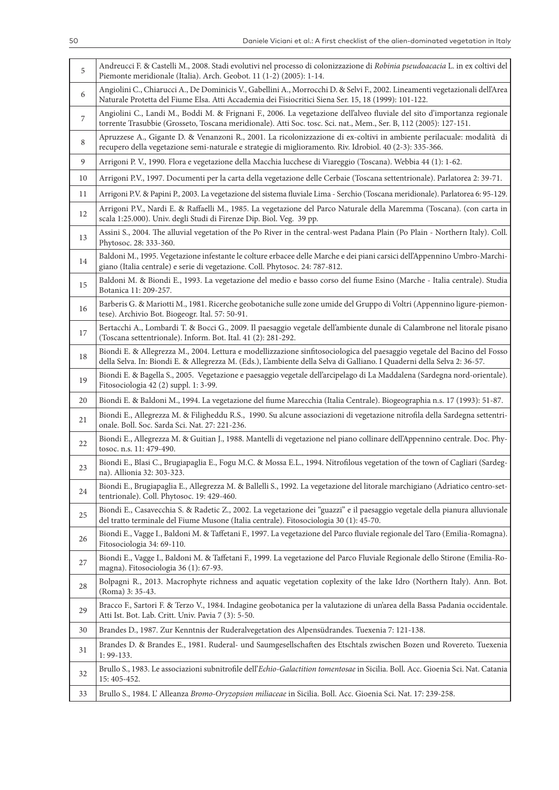| 5  | Andreucci F. & Castelli M., 2008. Stadi evolutivi nel processo di colonizzazione di Robinia pseudoacacia L. in ex coltivi del<br>Piemonte meridionale (Italia). Arch. Geobot. 11 (1-2) (2005): 1-14.                                                 |
|----|------------------------------------------------------------------------------------------------------------------------------------------------------------------------------------------------------------------------------------------------------|
| 6  | Angiolini C., Chiarucci A., De Dominicis V., Gabellini A., Morrocchi D. & Selvi F., 2002. Lineamenti vegetazionali dell'Area<br>Naturale Protetta del Fiume Elsa. Atti Accademia dei Fisiocritici Siena Ser. 15, 18 (1999): 101-122.                 |
| 7  | Angiolini C., Landi M., Boddi M. & Frignani F., 2006. La vegetazione dell'alveo fluviale del sito d'importanza regionale<br>torrente Trasubbie (Grosseto, Toscana meridionale). Atti Soc. tosc. Sci. nat., Mem., Ser. B, 112 (2005): 127-151.        |
| 8  | Apruzzese A., Gigante D. & Venanzoni R., 2001. La ricolonizzazione di ex-coltivi in ambiente perilacuale: modalità di<br>recupero della vegetazione semi-naturale e strategie di miglioramento. Riv. Idrobiol. 40 (2-3): 335-366.                    |
| 9  | Arrigoni P. V., 1990. Flora e vegetazione della Macchia lucchese di Viareggio (Toscana). Webbia 44 (1): 1-62.                                                                                                                                        |
| 10 | Arrigoni P.V., 1997. Documenti per la carta della vegetazione delle Cerbaie (Toscana settentrionale). Parlatorea 2: 39-71.                                                                                                                           |
| 11 | Arrigoni P.V. & Papini P., 2003. La vegetazione del sistema fluviale Lima - Serchio (Toscana meridionale). Parlatorea 6: 95-129.                                                                                                                     |
| 12 | Arrigoni P.V., Nardi E. & Raffaelli M., 1985. La vegetazione del Parco Naturale della Maremma (Toscana). (con carta in<br>scala 1:25.000). Univ. degli Studi di Firenze Dip. Biol. Veg. 39 pp.                                                       |
| 13 | Assini S., 2004. The alluvial vegetation of the Po River in the central-west Padana Plain (Po Plain - Northern Italy). Coll.<br>Phytosoc. 28: 333-360.                                                                                               |
| 14 | Baldoni M., 1995. Vegetazione infestante le colture erbacee delle Marche e dei piani carsici dell'Appennino Umbro-Marchi-<br>giano (Italia centrale) e serie di vegetazione. Coll. Phytosoc. 24: 787-812.                                            |
| 15 | Baldoni M. & Biondi E., 1993. La vegetazione del medio e basso corso del fiume Esino (Marche - Italia centrale). Studia<br>Botanica 11: 209-257.                                                                                                     |
| 16 | Barberis G. & Mariotti M., 1981. Ricerche geobotaniche sulle zone umide del Gruppo di Voltri (Appennino ligure-piemon-<br>tese). Archivio Bot. Biogeogr. Ital. 57: 50-91.                                                                            |
| 17 | Bertacchi A., Lombardi T. & Bocci G., 2009. Il paesaggio vegetale dell'ambiente dunale di Calambrone nel litorale pisano<br>(Toscana settentrionale). Inform. Bot. Ital. 41 (2): 281-292.                                                            |
| 18 | Biondi E. & Allegrezza M., 2004. Lettura e modellizzazione sinfitosociologica del paesaggio vegetale del Bacino del Fosso<br>della Selva. In: Biondi E. & Allegrezza M. (Eds.), L'ambiente della Selva di Galliano. I Quaderni della Selva 2: 36-57. |
| 19 | Biondi E. & Bagella S., 2005. Vegetazione e paesaggio vegetale dell'arcipelago di La Maddalena (Sardegna nord-orientale).<br>Fitosociologia 42 (2) suppl. 1: 3-99.                                                                                   |
| 20 | Biondi E. & Baldoni M., 1994. La vegetazione del fiume Marecchia (Italia Centrale). Biogeographia n.s. 17 (1993): 51-87.                                                                                                                             |
| 21 | Biondi E., Allegrezza M. & Filigheddu R.S., 1990. Su alcune associazioni di vegetazione nitrofila della Sardegna settentri-<br>onale. Boll. Soc. Sarda Sci. Nat. 27: 221-236.                                                                        |
| 22 | Biondi E., Allegrezza M. & Guitian J., 1988. Mantelli di vegetazione nel piano collinare dell'Appennino centrale. Doc. Phy-<br>tosoc. n.s. 11: 479-490.                                                                                              |
| 23 | Biondi E., Blasi C., Brugiapaglia E., Fogu M.C. & Mossa E.L., 1994. Nitrofilous vegetation of the town of Cagliari (Sardeg-<br>na). Allionia 32: 303-323.                                                                                            |
| 24 | Biondi E., Brugiapaglia E., Allegrezza M. & Ballelli S., 1992. La vegetazione del litorale marchigiano (Adriatico centro-set-<br>tentrionale). Coll. Phytosoc. 19: 429-460.                                                                          |
| 25 | Biondi E., Casavecchia S. & Radetic Z., 2002. La vegetazione dei "guazzi" e il paesaggio vegetale della pianura alluvionale<br>del tratto terminale del Fiume Musone (Italia centrale). Fitosociologia 30 (1): 45-70.                                |
| 26 | Biondi E., Vagge I., Baldoni M. & Taffetani F., 1997. La vegetazione del Parco fluviale regionale del Taro (Emilia-Romagna).<br>Fitosociologia 34: 69-110.                                                                                           |
| 27 | Biondi E., Vagge I., Baldoni M. & Taffetani F., 1999. La vegetazione del Parco Fluviale Regionale dello Stirone (Emilia-Ro-<br>magna). Fitosociologia 36 (1): 67-93.                                                                                 |
| 28 | Bolpagni R., 2013. Macrophyte richness and aquatic vegetation coplexity of the lake Idro (Northern Italy). Ann. Bot.<br>(Roma) 3: 35-43.                                                                                                             |
| 29 | Bracco F., Sartori F. & Terzo V., 1984. Indagine geobotanica per la valutazione di un'area della Bassa Padania occidentale.<br>Atti Ist. Bot. Lab. Critt. Univ. Pavia 7 (3): 5-50.                                                                   |
| 30 | Brandes D., 1987. Zur Kenntnis der Ruderalvegetation des Alpensüdrandes. Tuexenia 7: 121-138.                                                                                                                                                        |
| 31 | Brandes D. & Brandes E., 1981. Ruderal- und Saumgesellschaften des Etschtals zwischen Bozen und Rovereto. Tuexenia<br>1: 99-133.                                                                                                                     |
| 32 | Brullo S., 1983. Le associazioni subnitrofile dell'Echio-Galactition tomentosae in Sicilia. Boll. Acc. Gioenia Sci. Nat. Catania<br>15: 405-452.                                                                                                     |
| 33 | Brullo S., 1984. L' Alleanza Bromo-Oryzopsion miliaceae in Sicilia. Boll. Acc. Gioenia Sci. Nat. 17: 239-258.                                                                                                                                        |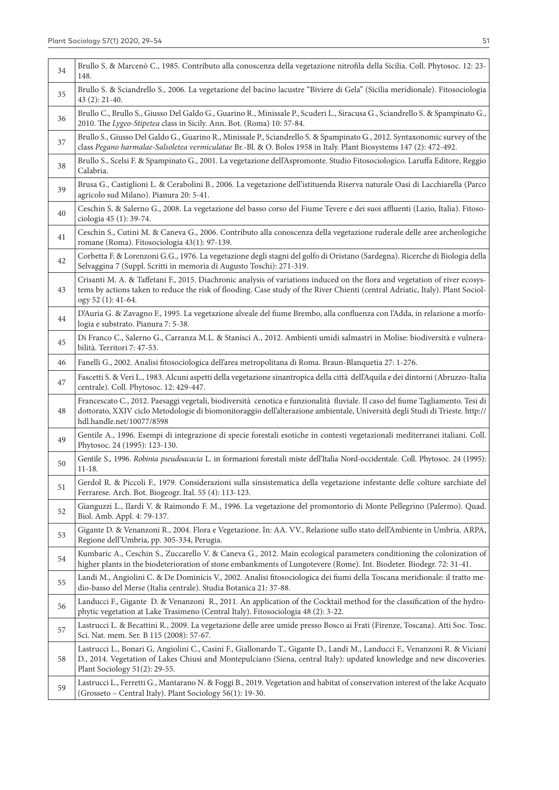| 34 | Brullo S. & Marcenò C., 1985. Contributo alla conoscenza della vegetazione nitrofila della Sicilia. Coll. Phytosoc. 12: 23-<br>148.                                                                                                                                                         |
|----|---------------------------------------------------------------------------------------------------------------------------------------------------------------------------------------------------------------------------------------------------------------------------------------------|
| 35 | Brullo S. & Sciandrello S., 2006. La vegetazione del bacino lacustre "Biviere di Gela" (Sicilia meridionale). Fitosociologia<br>43 (2): 21-40.                                                                                                                                              |
| 36 | Brullo C., Brullo S., Giusso Del Galdo G., Guarino R., Minissale P., Scuderi L., Siracusa G., Sciandrello S. & Spampinato G.,<br>2010. The Lygeo-Stipetea class in Sicily. Ann. Bot. (Roma) 10: 57-84.                                                                                      |
| 37 | Brullo S., Giusso Del Galdo G., Guarino R., Minissale P., Sciandrello S. & Spampinato G., 2012. Syntaxonomic survey of the<br>class Pegano harmalae-Salsoletea vermiculatae Br.-Bl. & O. Bolos 1958 in Italy. Plant Biosystems 147 (2): 472-492.                                            |
| 38 | Brullo S., Scelsi F. & Spampinato G., 2001. La vegetazione dell'Aspromonte. Studio Fitosociologico. Laruffa Editore, Reggio<br>Calabria.                                                                                                                                                    |
| 39 | Brusa G., Castiglioni L. & Cerabolini B., 2006. La vegetazione dell'istituenda Riserva naturale Oasi di Lacchiarella (Parco<br>agricolo sud Milano). Pianura 20: 5-41.                                                                                                                      |
| 40 | Ceschin S. & Salerno G., 2008. La vegetazione del basso corso del Fiume Tevere e dei suoi affluenti (Lazio, Italia). Fitoso-<br>ciologia 45 (1): 39-74.                                                                                                                                     |
| 41 | Ceschin S., Cutini M. & Caneva G., 2006. Contributo alla conoscenza della vegetazione ruderale delle aree archeologiche<br>romane (Roma). Fitosociologia 43(1): 97-139.                                                                                                                     |
| 42 | Corbetta F. & Lorenzoni G.G., 1976. La vegetazione degli stagni del golfo di Oristano (Sardegna). Ricerche di Biologia della<br>Selvaggina 7 (Suppl. Scritti in memoria di Augusto Toschi): 271-319.                                                                                        |
| 43 | Crisanti M. A. & Taffetani F., 2015. Diachronic analysis of variations induced on the flora and vegetation of river ecosys-<br>tems by actions taken to reduce the risk of flooding. Case study of the River Chienti (central Adriatic, Italy). Plant Sociol-<br>ogy 52 (1): 41-64.         |
| 44 | D'Auria G. & Zavagno F., 1995. La vegetazione alveale del fiume Brembo, alla confluenza con l'Adda, in relazione a morfo-<br>logia e substrato. Pianura 7: 5-38.                                                                                                                            |
| 45 | Di Franco C., Salerno G., Carranza M.L. & Stanisci A., 2012. Ambienti umidi salmastri in Molise: biodiversità e vulnera-<br>bilità. Territori 7: 47-53.                                                                                                                                     |
| 46 | Fanelli G., 2002. Analisi fitosociologica dell'area metropolitana di Roma. Braun-Blanquetia 27: 1-276.                                                                                                                                                                                      |
| 47 | Fascetti S. & Veri L., 1983. Alcuni aspetti della vegetazione sinantropica della città dell'Aquila e dei dintorni (Abruzzo-Italia<br>centrale). Coll. Phytosoc. 12: 429-447.                                                                                                                |
| 48 | Francescato C., 2012. Paesaggi vegetali, biodiversità cenotica e funzionalità fluviale. Il caso del fiume Tagliamento. Tesi di<br>dottorato, XXIV ciclo Metodologie di biomonitoraggio dell'alterazione ambientale, Università degli Studi di Trieste. http://<br>hdl.handle.net/10077/8598 |
| 49 | Gentile A., 1996. Esempi di integrazione di specie forestali esotiche in contesti vegetazionali mediterranei italiani. Coll.<br>Phytosoc. 24 (1995): 123-130.                                                                                                                               |
| 50 | Gentile S., 1996. Robinia pseudoacacia L. in formazioni forestali miste dell'Italia Nord-occidentale. Coll. Phytosoc. 24 (1995):<br>$11 - 18.$                                                                                                                                              |
| 51 | Gerdol R. & Piccoli F., 1979. Considerazioni sulla sinsistematica della vegetazione infestante delle colture sarchiate del<br>Ferrarese. Arch. Bot. Biogeogr. Ital. 55 (4): 113-123.                                                                                                        |
| 52 | Gianguzzi L., Ilardi V. & Raimondo F. M., 1996. La vegetazione del promontorio di Monte Pellegrino (Palermo). Quad.<br>Biol. Amb. Appl. 4: 79-137.                                                                                                                                          |
| 53 | Gigante D. & Venanzoni R., 2004. Flora e Vegetazione. In: AA. VV., Relazione sullo stato dell'Ambiente in Umbria. ARPA,<br>Regione dell'Umbria, pp. 305-334, Perugia.                                                                                                                       |
| 54 | Kumbaric A., Ceschin S., Zuccarello V. & Caneva G., 2012. Main ecological parameters conditioning the colonization of<br>higher plants in the biodeterioration of stone embankments of Lungotevere (Rome). Int. Biodeter. Biodegr. 72: 31-41.                                               |
| 55 | Landi M., Angiolini C. & De Dominicis V., 2002. Analisi fitosociologica dei fiumi della Toscana meridionale: il tratto me-<br>dio-basso del Merse (Italia centrale). Studia Botanica 21: 37-88.                                                                                             |
| 56 | Landucci F., Gigante D. & Venanzoni R., 2011. An application of the Cocktail method for the classification of the hydro-<br>phytic vegetation at Lake Trasimeno (Central Italy). Fitosociologia 48 (2): 3-22.                                                                               |
| 57 | Lastrucci L. & Becattini R., 2009. La vegetazione delle aree umide presso Bosco ai Frati (Firenze, Toscana). Atti Soc. Tosc.<br>Sci. Nat. mem. Ser. B 115 (2008): 57-67.                                                                                                                    |
| 58 | Lastrucci L., Bonari G, Angiolini C., Casini F., Giallonardo T., Gigante D., Landi M., Landucci F., Venanzoni R. & Viciani<br>D., 2014. Vegetation of Lakes Chiusi and Montepulciano (Siena, central Italy): updated knowledge and new discoveries.<br>Plant Sociology 51(2): 29-55.        |
| 59 | Lastrucci L., Ferretti G., Mantarano N. & Foggi B., 2019. Vegetation and habitat of conservation interest of the lake Acquato<br>(Grosseto - Central Italy). Plant Sociology 56(1): 19-30.                                                                                                  |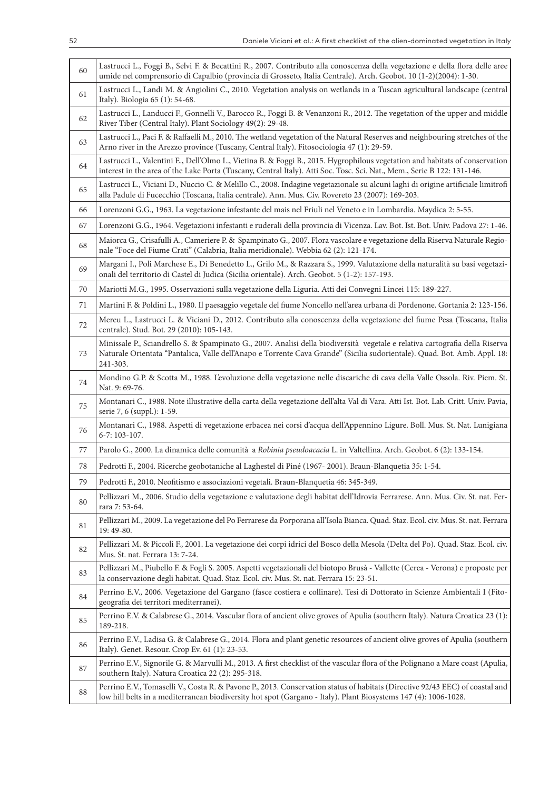| 60 | Lastrucci L., Foggi B., Selvi F. & Becattini R., 2007. Contributo alla conoscenza della vegetazione e della flora delle aree<br>umide nel comprensorio di Capalbio (provincia di Grosseto, Italia Centrale). Arch. Geobot. 10 (1-2)(2004): 1-30.                      |
|----|-----------------------------------------------------------------------------------------------------------------------------------------------------------------------------------------------------------------------------------------------------------------------|
| 61 | Lastrucci L., Landi M. & Angiolini C., 2010. Vegetation analysis on wetlands in a Tuscan agricultural landscape (central<br>Italy). Biologia 65 (1): 54-68.                                                                                                           |
| 62 | Lastrucci L., Landucci F., Gonnelli V., Barocco R., Foggi B. & Venanzoni R., 2012. The vegetation of the upper and middle<br>River Tiber (Central Italy). Plant Sociology 49(2): 29-48.                                                                               |
| 63 | Lastrucci L., Paci F. & Raffaelli M., 2010. The wetland vegetation of the Natural Reserves and neighbouring stretches of the<br>Arno river in the Arezzo province (Tuscany, Central Italy). Fitosociologia 47 (1): 29-59.                                             |
| 64 | Lastrucci L., Valentini E., Dell'Olmo L., Vietina B. & Foggi B., 2015. Hygrophilous vegetation and habitats of conservation<br>interest in the area of the Lake Porta (Tuscany, Central Italy). Atti Soc. Tosc. Sci. Nat., Mem., Serie B 122: 131-146.                |
| 65 | Lastrucci L., Viciani D., Nuccio C. & Melillo C., 2008. Indagine vegetazionale su alcuni laghi di origine artificiale limitrofi<br>alla Padule di Fucecchio (Toscana, Italia centrale). Ann. Mus. Civ. Rovereto 23 (2007): 169-203.                                   |
| 66 | Lorenzoni G.G., 1963. La vegetazione infestante del mais nel Friuli nel Veneto e in Lombardia. Maydica 2: 5-55.                                                                                                                                                       |
| 67 | Lorenzoni G.G., 1964. Vegetazioni infestanti e ruderali della provincia di Vicenza. Lav. Bot. Ist. Bot. Univ. Padova 27: 1-46.                                                                                                                                        |
| 68 | Maiorca G., Crisafulli A., Cameriere P. & Spampinato G., 2007. Flora vascolare e vegetazione della Riserva Naturale Regio-<br>nale "Foce del Fiume Crati" (Calabria, Italia meridionale). Webbia 62 (2): 121-174.                                                     |
| 69 | Margani I., Poli Marchese E., Di Benedetto L., Grilo M., & Razzara S., 1999. Valutazione della naturalità su basi vegetazi-<br>onali del territorio di Castel di Judica (Sicilia orientale). Arch. Geobot. 5 (1-2): 157-193.                                          |
| 70 | Mariotti M.G., 1995. Osservazioni sulla vegetazione della Liguria. Atti dei Convegni Lincei 115: 189-227.                                                                                                                                                             |
| 71 | Martini F. & Poldini L., 1980. Il paesaggio vegetale del fiume Noncello nell'area urbana di Pordenone. Gortania 2: 123-156.                                                                                                                                           |
| 72 | Mereu L., Lastrucci L. & Viciani D., 2012. Contributo alla conoscenza della vegetazione del fiume Pesa (Toscana, Italia<br>centrale). Stud. Bot. 29 (2010): 105-143.                                                                                                  |
| 73 | Minissale P., Sciandrello S. & Spampinato G., 2007. Analisi della biodiversità vegetale e relativa cartografia della Riserva<br>Naturale Orientata "Pantalica, Valle dell'Anapo e Torrente Cava Grande" (Sicilia sudorientale). Quad. Bot. Amb. Appl. 18:<br>241-303. |
| 74 | Mondino G.P. & Scotta M., 1988. L'evoluzione della vegetazione nelle discariche di cava della Valle Ossola. Riv. Piem. St.<br>Nat. 9: 69-76.                                                                                                                          |
| 75 | Montanari C., 1988. Note illustrative della carta della vegetazione dell'alta Val di Vara. Atti Ist. Bot. Lab. Critt. Univ. Pavia,<br>serie 7, 6 (suppl.): 1-59.                                                                                                      |
| 76 | Montanari C., 1988. Aspetti di vegetazione erbacea nei corsi d'acqua dell'Appennino Ligure. Boll. Mus. St. Nat. Lunigiana<br>6-7: 103-107.                                                                                                                            |
| 77 | Parolo G., 2000. La dinamica delle comunità a Robinia pseudoacacia L. in Valtellina. Arch. Geobot. 6 (2): 133-154.                                                                                                                                                    |
| 78 | Pedrotti F., 2004. Ricerche geobotaniche al Laghestel di Piné (1967-2001). Braun-Blanquetia 35: 1-54.                                                                                                                                                                 |
| 79 | Pedrotti F., 2010. Neofitismo e associazioni vegetali. Braun-Blanquetia 46: 345-349.                                                                                                                                                                                  |
| 80 | Pellizzari M., 2006. Studio della vegetazione e valutazione degli habitat dell'Idrovia Ferrarese. Ann. Mus. Civ. St. nat. Fer-<br>rara 7:53-64.                                                                                                                       |
| 81 | Pellizzari M., 2009. La vegetazione del Po Ferrarese da Porporana all'Isola Bianca. Quad. Staz. Ecol. civ. Mus. St. nat. Ferrara<br>19: 49-80.                                                                                                                        |
| 82 | Pellizzari M. & Piccoli F., 2001. La vegetazione dei corpi idrici del Bosco della Mesola (Delta del Po). Quad. Staz. Ecol. civ.<br>Mus. St. nat. Ferrara 13: 7-24.                                                                                                    |
| 83 | Pellizzari M., Piubello F. & Fogli S. 2005. Aspetti vegetazionali del biotopo Brusà - Vallette (Cerea - Verona) e proposte per<br>la conservazione degli habitat. Quad. Staz. Ecol. civ. Mus. St. nat. Ferrara 15: 23-51.                                             |
| 84 | Perrino E.V., 2006. Vegetazione del Gargano (fasce costiera e collinare). Tesi di Dottorato in Scienze Ambientali I (Fito-<br>geografia dei territori mediterranei).                                                                                                  |
| 85 | Perrino E.V. & Calabrese G., 2014. Vascular flora of ancient olive groves of Apulia (southern Italy). Natura Croatica 23 (1):<br>189-218.                                                                                                                             |
| 86 | Perrino E.V., Ladisa G. & Calabrese G., 2014. Flora and plant genetic resources of ancient olive groves of Apulia (southern<br>Italy). Genet. Resour. Crop Ev. 61 (1): 23-53.                                                                                         |
| 87 | Perrino E.V., Signorile G. & Marvulli M., 2013. A first checklist of the vascular flora of the Polignano a Mare coast (Apulia,<br>southern Italy). Natura Croatica 22 (2): 295-318.                                                                                   |
| 88 | Perrino E.V., Tomaselli V., Costa R. & Pavone P., 2013. Conservation status of habitats (Directive 92/43 EEC) of coastal and<br>low hill belts in a mediterranean biodiversity hot spot (Gargano - Italy). Plant Biosystems 147 (4): 1006-1028.                       |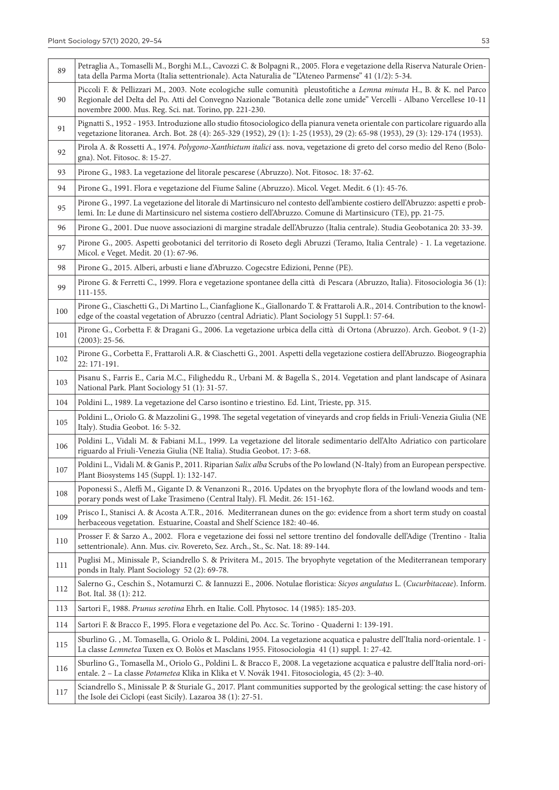| 89  | Petraglia A., Tomaselli M., Borghi M.L., Cavozzi C. & Bolpagni R., 2005. Flora e vegetazione della Riserva Naturale Orien-<br>tata della Parma Morta (Italia settentrionale). Acta Naturalia de "L'Ateneo Parmense" 41 (1/2): 5-34.                                                                       |
|-----|-----------------------------------------------------------------------------------------------------------------------------------------------------------------------------------------------------------------------------------------------------------------------------------------------------------|
| 90  | Piccoli F. & Pellizzari M., 2003. Note ecologiche sulle comunità pleustofitiche a Lemna minuta H., B. & K. nel Parco<br>Regionale del Delta del Po. Atti del Convegno Nazionale "Botanica delle zone umide" Vercelli - Albano Vercellese 10-11<br>novembre 2000. Mus. Reg. Sci. nat. Torino, pp. 221-230. |
| 91  | Pignatti S., 1952 - 1953. Introduzione allo studio fitosociologico della pianura veneta orientale con particolare riguardo alla<br>vegetazione litoranea. Arch. Bot. 28 (4): 265-329 (1952), 29 (1): 1-25 (1953), 29 (2): 65-98 (1953), 29 (3): 129-174 (1953).                                           |
| 92  | Pirola A. & Rossetti A., 1974. Polygono-Xanthietum italici ass. nova, vegetazione di greto del corso medio del Reno (Bolo-<br>gna). Not. Fitosoc. 8: 15-27.                                                                                                                                               |
| 93  | Pirone G., 1983. La vegetazione del litorale pescarese (Abruzzo). Not. Fitosoc. 18: 37-62.                                                                                                                                                                                                                |
| 94  | Pirone G., 1991. Flora e vegetazione del Fiume Saline (Abruzzo). Micol. Veget. Medit. 6 (1): 45-76.                                                                                                                                                                                                       |
| 95  | Pirone G., 1997. La vegetazione del litorale di Martinsicuro nel contesto dell'ambiente costiero dell'Abruzzo: aspetti e prob-<br>lemi. In: Le dune di Martinsicuro nel sistema costiero dell'Abruzzo. Comune di Martinsicuro (TE), pp. 21-75.                                                            |
| 96  | Pirone G., 2001. Due nuove associazioni di margine stradale dell'Abruzzo (Italia centrale). Studia Geobotanica 20: 33-39.                                                                                                                                                                                 |
| 97  | Pirone G., 2005. Aspetti geobotanici del territorio di Roseto degli Abruzzi (Teramo, Italia Centrale) - 1. La vegetazione.<br>Micol. e Veget. Medit. 20 (1): 67-96.                                                                                                                                       |
| 98  | Pirone G., 2015. Alberi, arbusti e liane d'Abruzzo. Cogecstre Edizioni, Penne (PE).                                                                                                                                                                                                                       |
| 99  | Pirone G. & Ferretti C., 1999. Flora e vegetazione spontanee della città di Pescara (Abruzzo, Italia). Fitosociologia 36 (1):<br>111-155.                                                                                                                                                                 |
| 100 | Pirone G., Ciaschetti G., Di Martino L., Cianfaglione K., Giallonardo T. & Frattaroli A.R., 2014. Contribution to the knowl-<br>edge of the coastal vegetation of Abruzzo (central Adriatic). Plant Sociology 51 Suppl.1: 57-64.                                                                          |
| 101 | Pirone G., Corbetta F. & Dragani G., 2006. La vegetazione urbica della città di Ortona (Abruzzo). Arch. Geobot. 9 (1-2)<br>$(2003): 25-56.$                                                                                                                                                               |
| 102 | Pirone G., Corbetta F., Frattaroli A.R. & Ciaschetti G., 2001. Aspetti della vegetazione costiera dell'Abruzzo. Biogeographia<br>22: 171-191.                                                                                                                                                             |
| 103 | Pisanu S., Farris E., Caria M.C., Filigheddu R., Urbani M. & Bagella S., 2014. Vegetation and plant landscape of Asinara<br>National Park. Plant Sociology 51 (1): 31-57.                                                                                                                                 |
| 104 | Poldini L., 1989. La vegetazione del Carso isontino e triestino. Ed. Lint, Trieste, pp. 315.                                                                                                                                                                                                              |
| 105 | Poldini L., Oriolo G. & Mazzolini G., 1998. The segetal vegetation of vineyards and crop fields in Friuli-Venezia Giulia (NE<br>Italy). Studia Geobot. 16: 5-32.                                                                                                                                          |
| 106 | Poldini L., Vidali M. & Fabiani M.L., 1999. La vegetazione del litorale sedimentario dell'Alto Adriatico con particolare<br>riguardo al Friuli-Venezia Giulia (NE Italia). Studia Geobot. 17: 3-68.                                                                                                       |
| 107 | Poldini L., Vidali M. & Ganis P., 2011. Riparian Salix alba Scrubs of the Po lowland (N-Italy) from an European perspective.<br>Plant Biosystems 145 (Suppl. 1): 132-147.                                                                                                                                 |
| 108 | Poponessi S., Aleffi M., Gigante D. & Venanzoni R., 2016. Updates on the bryophyte flora of the lowland woods and tem-<br>porary ponds west of Lake Trasimeno (Central Italy). Fl. Medit. 26: 151-162.                                                                                                    |
| 109 | Prisco I., Stanisci A. & Acosta A.T.R., 2016. Mediterranean dunes on the go: evidence from a short term study on coastal<br>herbaceous vegetation. Estuarine, Coastal and Shelf Science 182: 40-46.                                                                                                       |
| 110 | Prosser F. & Sarzo A., 2002. Flora e vegetazione dei fossi nel settore trentino del fondovalle dell'Adige (Trentino - Italia<br>settentrionale). Ann. Mus. civ. Rovereto, Sez. Arch., St., Sc. Nat. 18: 89-144.                                                                                           |
| 111 | Puglisi M., Minissale P., Sciandrello S. & Privitera M., 2015. The bryophyte vegetation of the Mediterranean temporary<br>ponds in Italy. Plant Sociology 52 (2): 69-78.                                                                                                                                  |
| 112 | Salerno G., Ceschin S., Notamurzi C. & Iannuzzi E., 2006. Notulae floristica: Sicyos angulatus L. (Cucurbitaceae). Inform.<br>Bot. Ital. 38 (1): 212.                                                                                                                                                     |
| 113 | Sartori F., 1988. Prunus serotina Ehrh. en Italie. Coll. Phytosoc. 14 (1985): 185-203.                                                                                                                                                                                                                    |
| 114 | Sartori F. & Bracco F., 1995. Flora e vegetazione del Po. Acc. Sc. Torino - Quaderni 1: 139-191.                                                                                                                                                                                                          |
| 115 | Sburlino G., M. Tomasella, G. Oriolo & L. Poldini, 2004. La vegetazione acquatica e palustre dell'Italia nord-orientale. 1 -<br>La classe Lemnetea Tuxen ex O. Bolòs et Masclans 1955. Fitosociologia 41 (1) suppl. 1: 27-42.                                                                             |
| 116 | Sburlino G., Tomasella M., Oriolo G., Poldini L. & Bracco F., 2008. La vegetazione acquatica e palustre dell'Italia nord-ori-<br>entale. 2 - La classe Potametea Klika in Klika et V. Novák 1941. Fitosociologia, 45 (2): 3-40.                                                                           |
| 117 | Sciandrello S., Minissale P. & Sturiale G., 2017. Plant communities supported by the geological setting: the case history of<br>the Isole dei Ciclopi (east Sicily). Lazaroa 38 (1): 27-51.                                                                                                               |